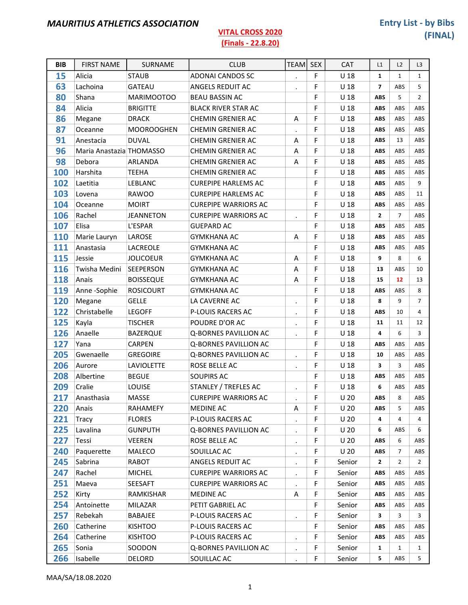| <b>BIB</b> | <b>FIRST NAME</b>        | SURNAME           | <b>CLUB</b>                 | <b>TEAM</b>          | <b>SEX</b> | <b>CAT</b>      | L1             | L2             | L <sub>3</sub> |
|------------|--------------------------|-------------------|-----------------------------|----------------------|------------|-----------------|----------------|----------------|----------------|
| 15         | Alicia                   | <b>STAUB</b>      | <b>ADONAI CANDOS SC</b>     | $\cdot$              | F          | U <sub>18</sub> | $\mathbf{1}$   | $\mathbf{1}$   | $\mathbf{1}$   |
| 63         | Lachoina                 | <b>GATEAU</b>     | ANGELS REDUIT AC            |                      | F          | U <sub>18</sub> | $\overline{7}$ | ABS            | 5              |
| 80         | Shana                    | MARIMOOTOO        | <b>BEAU BASSIN AC</b>       |                      | F          | U <sub>18</sub> | <b>ABS</b>     | 5              | $\overline{2}$ |
| 84         | Alicia                   | <b>BRIGITTE</b>   | <b>BLACK RIVER STAR AC</b>  |                      | F          | U <sub>18</sub> | <b>ABS</b>     | ABS            | ABS            |
| 86         | Megane                   | <b>DRACK</b>      | <b>CHEMIN GRENIER AC</b>    | Α                    | F          | U <sub>18</sub> | <b>ABS</b>     | ABS            | ABS            |
| 87         | Oceanne                  | <b>MOOROOGHEN</b> | <b>CHEMIN GRENIER AC</b>    | $\ddot{\phantom{a}}$ | F          | U <sub>18</sub> | <b>ABS</b>     | ABS            | ABS            |
| 91         | Anestacia                | <b>DUVAL</b>      | <b>CHEMIN GRENIER AC</b>    | Α                    | F          | U <sub>18</sub> | <b>ABS</b>     | 13             | ABS            |
| 96         | Maria Anastazia THOMASSO |                   | CHEMIN GRENIER AC           | Α                    | F          | U <sub>18</sub> | <b>ABS</b>     | ABS            | ABS            |
| 98         | Debora                   | ARLANDA           | <b>CHEMIN GRENIER AC</b>    | A                    | F          | U <sub>18</sub> | <b>ABS</b>     | ABS            | ABS            |
| 100        | Harshita                 | <b>TEEHA</b>      | <b>CHEMIN GRENIER AC</b>    |                      | F          | U <sub>18</sub> | <b>ABS</b>     | ABS            | ABS            |
| 102        | Laetitia                 | LEBLANC           | <b>CUREPIPE HARLEMS AC</b>  |                      | F          | U <sub>18</sub> | <b>ABS</b>     | ABS            | 9              |
| 103        | Lovena                   | <b>RAWOO</b>      | <b>CUREPIPE HARLEMS AC</b>  |                      | F          | U <sub>18</sub> | <b>ABS</b>     | ABS            | 11             |
| 104        | Oceanne                  | <b>MOIRT</b>      | <b>CUREPIPE WARRIORS AC</b> |                      | F          | U <sub>18</sub> | <b>ABS</b>     | ABS            | ABS            |
| 106        | Rachel                   | <b>JEANNETON</b>  | <b>CUREPIPE WARRIORS AC</b> | $\cdot$              | F          | U <sub>18</sub> | $\mathbf{2}$   | $\overline{7}$ | ABS            |
| 107        | Elisa                    | L'ESPAR           | <b>GUEPARD AC</b>           |                      | F          | U <sub>18</sub> | <b>ABS</b>     | ABS            | ABS            |
| 110        | Marie Lauryn             | LAROSE            | <b>GYMKHANA AC</b>          | Α                    | F          | U <sub>18</sub> | <b>ABS</b>     | ABS            | ABS            |
| 111        | Anastasia                | LACREOLE          | <b>GYMKHANA AC</b>          |                      | F          | U <sub>18</sub> | <b>ABS</b>     | ABS            | ABS            |
| 115        | Jessie                   | <b>JOLICOEUR</b>  | <b>GYMKHANA AC</b>          | A                    | F          | U <sub>18</sub> | 9              | 8              | 6              |
| 116        | Twisha Medini            | <b>SEEPERSON</b>  | <b>GYMKHANA AC</b>          | Α                    | F          | U 18            | 13             | ABS            | 10             |
| 118        | Anais                    | <b>BOISSEQUE</b>  | <b>GYMKHANA AC</b>          | Α                    | F          | U <sub>18</sub> | 15             | 12             | 13             |
| 119        | Anne-Sophie              | <b>ROSICOURT</b>  | <b>GYMKHANA AC</b>          |                      | F          | U <sub>18</sub> | <b>ABS</b>     | ABS            | 8              |
| 120        | Megane                   | <b>GELLE</b>      | LA CAVERNE AC               | $\blacksquare$       | F          | U <sub>18</sub> | 8              | 9              | $\overline{7}$ |
| 122        | Christabelle             | <b>LEGOFF</b>     | P-LOUIS RACERS AC           | $\bullet$            | F          | U <sub>18</sub> | <b>ABS</b>     | 10             | 4              |
| 125        | Kayla                    | <b>TISCHER</b>    | POUDRE D'OR AC              |                      | F          | U <sub>18</sub> | 11             | 11             | 12             |
| 126        | Anaelle                  | <b>BAZERQUE</b>   | Q-BORNES PAVILLION AC       | $\bullet$            | F          | U <sub>18</sub> | 4              | 6              | 3              |
| 127        | Yana                     | <b>CARPEN</b>     | Q-BORNES PAVILLION AC       |                      | F          | U <sub>18</sub> | <b>ABS</b>     | ABS            | ABS            |
| 205        | Gwenaelle                | <b>GREGOIRE</b>   | Q-BORNES PAVILLION AC       | $\ddot{\phantom{0}}$ | F          | U <sub>18</sub> | 10             | ABS            | ABS            |
| 206        | Aurore                   | LAVIOLETTE        | ROSE BELLE AC               | $\bullet$            | F          | U <sub>18</sub> | 3              | 3              | ABS            |
| 208        | Albertine                | <b>BEGUE</b>      | <b>SOUPIRS AC</b>           |                      | F          | U <sub>18</sub> | <b>ABS</b>     | ABS            | ABS            |
| 209        | Cralie                   | LOUISE            | STANLEY / TREFLES AC        |                      | F          | U <sub>18</sub> | 6              | ABS            | ABS            |
| 217        | Anasthasia               | <b>MASSE</b>      | <b>CUREPIPE WARRIORS AC</b> |                      | F          | U <sub>20</sub> | ABS            | 8              | ABS            |
| 220        | Anais                    | RAHAMEFY          | MEDINE AC                   | Α                    | F          | U <sub>20</sub> | <b>ABS</b>     | 5              | ABS            |
| 221        | Tracy                    | <b>FLORES</b>     | <b>P-LOUIS RACERS AC</b>    | $\bullet$            | F          | U <sub>20</sub> | 4              | 4              | 4              |
| 225        | Lavalina                 | <b>GUNPUTH</b>    | Q-BORNES PAVILLION AC       | $\bullet$            | F          | U <sub>20</sub> | 6              | ABS            | 6              |
| 227        | Tessi                    | <b>VEEREN</b>     | ROSE BELLE AC               | $\bullet$            | F          | U <sub>20</sub> | <b>ABS</b>     | 6              | ABS            |
| 240        | Paquerette               | MALECO            | SOUILLAC AC                 | $\bullet$            | F          | U <sub>20</sub> | <b>ABS</b>     | $\overline{7}$ | ABS            |
| 245        | Sabrina                  | RABOT             | ANGELS REDUIT AC            | $\bullet$            | F          | Senior          | 2              | 2              | $\overline{2}$ |
| 247        | Rachel                   | <b>MICHEL</b>     | <b>CUREPIPE WARRIORS AC</b> | $\bullet$            | F          | Senior          | <b>ABS</b>     | ABS            | ABS            |
| 251        | Maeva                    | SEESAFT           | <b>CUREPIPE WARRIORS AC</b> | $\cdot$              | F          | Senior          | <b>ABS</b>     | ABS            | ABS            |
| 252        | Kirty                    | RAMKISHAR         | MEDINE AC                   | Α                    | F          | Senior          | <b>ABS</b>     | ABS            | ABS            |
| 254        | Antoinette               | MILAZAR           | PETIT GABRIEL AC            |                      | F          | Senior          | <b>ABS</b>     | ABS            | ABS            |
| 257        | Rebekah                  | BABAJEE           | P-LOUIS RACERS AC           | $\bullet$            | F          | Senior          | 3              | 3              | 3              |
| 260        | Catherine                | <b>KISHTOO</b>    | P-LOUIS RACERS AC           |                      | F          | Senior          | <b>ABS</b>     | ABS            | ABS            |
| 264        | Catherine                | <b>KISHTOO</b>    | P-LOUIS RACERS AC           | $\ddot{\phantom{0}}$ | F          | Senior          | <b>ABS</b>     | ABS            | ABS            |
| 265        | Sonia                    | SOODON            | Q-BORNES PAVILLION AC       | $\bullet$            | F          | Senior          | 1              | $\mathbf{1}$   | $\mathbf{1}$   |
| 266        | Isabelle                 | DELORD            | SOUILLAC AC                 |                      | F          | Senior          | 5              | ABS            | 5              |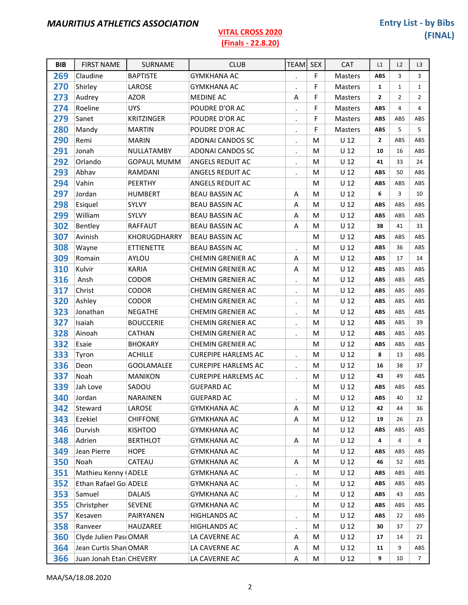### (Finals - 22.8.20)

| <b>BIB</b> | <b>FIRST NAME</b>       | SURNAME            | <b>CLUB</b>                | <b>TEAM</b>          | <b>SEX</b>  | <b>CAT</b>      | L1             | L2             | L3              |
|------------|-------------------------|--------------------|----------------------------|----------------------|-------------|-----------------|----------------|----------------|-----------------|
| 269        | Claudine                | <b>BAPTISTE</b>    | <b>GYMKHANA AC</b>         | $\cdot$              | $\mathsf F$ | Masters         | <b>ABS</b>     | 3              | 3               |
| 270        | Shirley                 | LAROSE             | <b>GYMKHANA AC</b>         | $\bullet$            | F           | <b>Masters</b>  | $\mathbf{1}$   | $\mathbf 1$    | $\mathbf{1}$    |
| 273        | Audrey                  | <b>AZOR</b>        | <b>MEDINE AC</b>           | Α                    | F           | Masters         | $\overline{2}$ | $\overline{2}$ | $\overline{2}$  |
| 274        | Roeline                 | <b>UYS</b>         | POUDRE D'OR AC             | $\blacksquare$       | F           | Masters         | <b>ABS</b>     | 4              | 4               |
| 279        | Sanet                   | <b>KRITZINGER</b>  | POUDRE D'OR AC             | $\bullet$            | F           | Masters         | <b>ABS</b>     | ABS            | ABS             |
| 280        | Mandy                   | <b>MARTIN</b>      | POUDRE D'OR AC             | $\cdot$              | F           | Masters         | <b>ABS</b>     | 5              | 5               |
| 290        | Remi                    | <b>MARIN</b>       | <b>ADONAI CANDOS SC</b>    | $\cdot$              | M           | U <sub>12</sub> | $\overline{2}$ | ABS            | ABS             |
| 291        | Jonah                   | NULLATAMBY         | <b>ADONAI CANDOS SC</b>    | $\bullet$            | M           | U <sub>12</sub> | 10             | 16             | ABS             |
| 292        | Orlando                 | <b>GOPAUL MUMM</b> | <b>ANGELS REDUIT AC</b>    | $\bullet$            | M           | U <sub>12</sub> | 41             | 33             | 24              |
| 293        | Abhav                   | RAMDANI            | <b>ANGELS REDUIT AC</b>    | $\ddot{\phantom{a}}$ | M           | U <sub>12</sub> | <b>ABS</b>     | 50             | ABS             |
| 294        | Vahin                   | <b>PEERTHY</b>     | <b>ANGELS REDUIT AC</b>    |                      | M           | U <sub>12</sub> | <b>ABS</b>     | ABS            | ABS             |
| 297        | Jordan                  | <b>HUMBERT</b>     | <b>BEAU BASSIN AC</b>      | Α                    | M           | $U$ 12          | 6              | 3              | 10              |
| 298        | Esiquel                 | SYLVY              | <b>BEAU BASSIN AC</b>      | Α                    | M           | U <sub>12</sub> | <b>ABS</b>     | ABS            | ABS             |
| 299        | William                 | SYLVY              | <b>BEAU BASSIN AC</b>      | A                    | M           | U <sub>12</sub> | <b>ABS</b>     | ABS            | ABS             |
| 302        | Bentley                 | RAFFAUT            | <b>BEAU BASSIN AC</b>      | A                    | M           | $U$ 12          | 38             | 41             | 33              |
| 307        | Avinish                 | KHORUGDHARRY       | <b>BEAU BASSIN AC</b>      |                      | M           | $U$ 12          | <b>ABS</b>     | ABS            | ABS             |
| 308        | Wayne                   | <b>ETTIENETTE</b>  | <b>BEAU BASSIN AC</b>      | $\bullet$            | M           | U <sub>12</sub> | <b>ABS</b>     | 36             | ABS             |
| 309        | Romain                  | AYLOU              | CHEMIN GRENIER AC          | A                    | M           | $U$ 12          | <b>ABS</b>     | 17             | 14              |
| 310        | Kulvir                  | <b>KARIA</b>       | CHEMIN GRENIER AC          | Α                    | М           | U <sub>12</sub> | <b>ABS</b>     | ABS            | ABS             |
| 316        | Ansh                    | <b>CODOR</b>       | <b>CHEMIN GRENIER AC</b>   | $\blacksquare$       | M           | U <sub>12</sub> | <b>ABS</b>     | ABS            | ABS             |
| 317        | Christ                  | CODOR              | CHEMIN GRENIER AC          | $\bullet$            | M           | U <sub>12</sub> | <b>ABS</b>     | ABS            | ABS             |
| 320        | Ashley                  | CODOR              | CHEMIN GRENIER AC          | $\bullet$            | M           | U <sub>12</sub> | <b>ABS</b>     | ABS            | ABS             |
| 323        | Jonathan                | <b>NEGATHE</b>     | <b>CHEMIN GRENIER AC</b>   | $\ddot{\phantom{0}}$ | M           | U <sub>12</sub> | <b>ABS</b>     | ABS            | ABS             |
| 327        | Isaiah                  | <b>BOUCCERIE</b>   | <b>CHEMIN GRENIER AC</b>   | $\bullet$            | M           | U <sub>12</sub> | <b>ABS</b>     | ABS            | 39              |
| 328        | Ainoah                  | CATHAN             | CHEMIN GRENIER AC          | $\ddot{\phantom{0}}$ | M           | U <sub>12</sub> | <b>ABS</b>     | ABS            | ABS             |
| 332        | Esaie                   | <b>BHOKARY</b>     | CHEMIN GRENIER AC          |                      | M           | U <sub>12</sub> | <b>ABS</b>     | ABS            | ABS             |
| 333        | Tyron                   | <b>ACHILLE</b>     | <b>CUREPIPE HARLEMS AC</b> | $\bullet$            | M           | U <sub>12</sub> | 8              | 13             | ABS             |
| 336        | Deon                    | <b>GOOLAMALEE</b>  | <b>CUREPIPE HARLEMS AC</b> | $\bullet$            | M           | U <sub>12</sub> | 16             | 38             | 37              |
| 337        | Noah                    | <b>MANIKON</b>     | <b>CUREPIPE HARLEMS AC</b> | $\bullet$            | M           | U <sub>12</sub> | 43             | 49             | ABS             |
| 339        | Jah Love                | SADOU              | <b>GUEPARD AC</b>          |                      | M           | U <sub>12</sub> | <b>ABS</b>     | ABS            | ABS             |
| 340        | Jordan                  | NARAINEN           | <b>GUEPARD AC</b>          |                      | M           | U <sub>12</sub> | ABS            | 40             | 32              |
| 342        | Steward                 | LAROSE             | GYMKHANA AC                | Α                    | M           | U <sub>12</sub> | 42             | 44             | 36              |
| 343        | Ezekiel                 | <b>CHIFFONE</b>    | <b>GYMKHANA AC</b>         | Α                    | M           | U <sub>12</sub> | 19             | 26             | 23              |
| 346        | Durvish                 | <b>KISHTOO</b>     | <b>GYMKHANA AC</b>         |                      | M           | $U$ 12          | ABS            | ABS            | ABS             |
| 348        | Adrien                  | <b>BERTHLOT</b>    | <b>GYMKHANA AC</b>         | A                    | M           | $U$ 12          | 4              | 4              | 4               |
| 349        | Jean Pierre             | <b>HOPE</b>        | <b>GYMKHANA AC</b>         |                      | М           | U <sub>12</sub> | ABS            | ABS            | ABS             |
| 350        | Noah                    | CATEAU             | <b>GYMKHANA AC</b>         | Α                    | M           | $U$ 12          | 46             | 52             | ABS             |
| 351        | Mathieu Kenny (ADELE    |                    | <b>GYMKHANA AC</b>         | $\cdot$              | M           | U <sub>12</sub> | <b>ABS</b>     | ABS            | ABS             |
| 352        | Ethan Rafael Go ADELE   |                    | <b>GYMKHANA AC</b>         | $\bullet$            | M           | $U$ 12          | ABS            | ABS            | ABS             |
| 353        | Samuel                  | <b>DALAIS</b>      | <b>GYMKHANA AC</b>         |                      | M           | $U$ 12          | ABS            | 43             | ABS             |
| 355        | Christpher              | <b>SEVENE</b>      | <b>GYMKHANA AC</b>         |                      | М           | $U$ 12          | ABS            | ABS            | ABS             |
| 357        | Kesaven                 | PAIRYANEN          | <b>HIGHLANDS AC</b>        | $\cdot$              | M           | $U$ 12          | ABS            | 22             | ABS             |
| 358        | Ranveer                 | HAUZAREE           | HIGHLANDS AC               |                      | M           | $U$ 12          | 30             | 37             | 27              |
| 360        | Clyde Julien Pas OMAR   |                    | LA CAVERNE AC              | A                    | М           | U <sub>12</sub> | 17             | 14             | 21              |
| 364        | Jean Curtis Shan OMAR   |                    | LA CAVERNE AC              | Α                    | M           | $U$ 12          | 11             | 9              | ABS             |
| 366        | Juan Jonah Etan CHEVERY |                    | LA CAVERNE AC              | Α                    | M           | $U$ 12          | 9              | 10             | $7\overline{ }$ |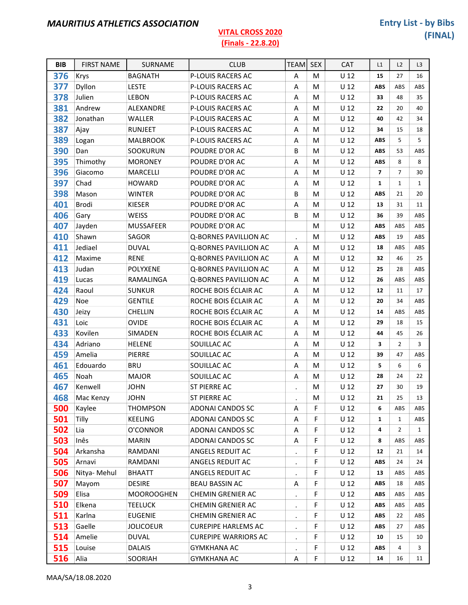#### BIB FIRST NAME SURNAME CLUB CLUB TEAM SEX CAT L1 L2 L3 376 Krys BAGNATH P-LOUIS RACERS AC A M U 12 15 27 16 **377** Dyllon LESTE P-LOUIS RACERS AC A M U 12 ABS ABS ABS **378** Julien LEBON P-LOUIS RACERS AC A M U 12 33 48 35 381 Andrew ALEXANDRE P-LOUIS RACERS AC A M U 12 22 20 40 **382** Jonathan WALLER P-LOUIS RACERS AC A M U 12 40 42 34 387 Ajay RUNJEET P-LOUIS RACERS AC A M U 12 34 15 18 **389** Logan MALBROOK P-LOUIS RACERS AC A M U 12 ABS 5 5 390 Dan SOOKURUN POUDRE D'OR AC B M U 12 ABS 53 ABS 395 Thimothy MORONEY POUDRE D'OR AC A M U 12 ABS 8 8 396 Giacomo MARCELLI POUDRE D'OR AC A M U 12 7 7 30 397 Chad HOWARD POUDRE D'OR AC A M U 12 1 1 1 **398** Mason WINTER POUDRE D'OR AC B M U 12 ABS 21 20 401 Brodi KIESER POUDRE D'OR AC A M U 12 13 31 11 **406** Gary WEISS POUDRE D'OR AC B M U 12 36 39 ABS 407 Jayden MUSSAFEER POUDRE D'OR AC MUIZABS ABS ABS **410** Shawn SAGOR Q-BORNES PAVILLION AC MUSIC MUSIC ABS 19 ABS **411** Jediael DUVAL Q-BORNES PAVILLION AC A M U 12 18 ABS ABS 412 Maxime RENE Q-BORNES PAVILLION AC A M U 12 32 46 25 413 Judan POLYXENE Q-BORNES PAVILLION AC A M U 12 25 28 ABS **419 Lucas** RAMALINGA Q-BORNES PAVILLION AC A M U 12 26 ABS ABS **424** Raoul SUNKUR ROCHE BOIS ÉCLAIR AC A M U 12 12 11 17 429 Noe GENTILE ROCHE BOIS ÉCLAIR AC A M U 12 20 34 ABS 430 Jeizy CHELLIN ROCHE BOIS ÉCLAIR AC A M U 12 14 ABS ABS 431 Loic OVIDE ROCHE BOIS ÉCLAIR AC A M U 12 <sup>29</sup> 18 15 433 Kovilen SIMADEN ROCHE BOIS ÉCLAIR AC A M U 12 44 45 26 434 Adriano HELENE SOUILLAC AC A M U 12 3 2 3 459 Amelia PIERRE SOUILLAC AC A M U 12 39 47 ABS 461 Edouardo BRU SOUILLAC AC A M U 12 5 6 6 465 Noah MAJOR SOUILLAC AC A M U 12 28 24 22 467 Kenwell JOHN ST PIERRE AC . M U 12 27 30 19 **468** Mac Kenzy JOHN ST PIERRE AC . M U 12 21 25 13 **500** Kaylee THOMPSON ADONAI CANDOS SC A F U 12 6 ABS ABS

| 500 | Kaylee      | <b>THOMPSON</b>   | ADONAI CANDOS SC            | A         |   | U 12            | 6          | ABS        | ABS          |
|-----|-------------|-------------------|-----------------------------|-----------|---|-----------------|------------|------------|--------------|
| 501 | Tilly       | <b>KEELING</b>    | ADONAI CANDOS SC            | A         | F | U <sub>12</sub> | 1          | 1          | <b>ABS</b>   |
| 502 | Lia         | O'CONNOR          | ADONAI CANDOS SC            | A         | F | U 12            | 4          | 2          | $\mathbf{1}$ |
| 503 | Inês        | <b>MARIN</b>      | ADONAI CANDOS SC            | A         | F | U 12            | 8          | <b>ABS</b> | ABS          |
| 504 | Arkansha    | RAMDANI           | ANGELS REDUIT AC            | $\bullet$ | F | U 12            | 12         | 21         | 14           |
| 505 | Arnavi      | RAMDANI           | ANGELS REDUIT AC            | $\cdot$   | F | U 12            | <b>ABS</b> | 24         | 24           |
| 506 | Nitya-Mehul | <b>BHAATT</b>     | ANGELS REDUIT AC            | $\cdot$   | F | U <sub>12</sub> | 13         | ABS        | ABS          |
| 507 | Mayom       | <b>DESIRE</b>     | <b>BEAU BASSIN AC</b>       | A         | F | U <sub>12</sub> | <b>ABS</b> | 18         | ABS          |
| 509 | Elisa       | <b>MOOROOGHEN</b> | CHEMIN GRENIER AC           | $\bullet$ | F | U 12            | <b>ABS</b> | ABS        | ABS          |
| 510 | Elkena      | TEELUCK           | CHEMIN GRENIER AC           | $\bullet$ | F | U <sub>12</sub> | <b>ABS</b> | <b>ABS</b> | ABS          |
| 511 | Karlna      | <b>EUGENIE</b>    | CHEMIN GRENIER AC           | $\bullet$ | F | U 12            | <b>ABS</b> | 22         | ABS          |
| 513 | Gaelle      | <b>JOLICOEUR</b>  | <b>CUREPIPE HARLEMS AC</b>  | $\bullet$ | F | U <sub>12</sub> | <b>ABS</b> | 27         | <b>ABS</b>   |
| 514 | Amelie      | <b>DUVAL</b>      | <b>CUREPIPE WARRIORS AC</b> | $\bullet$ | F | U 12            | 10         | 15         | 10           |
| 515 | Louise      | <b>DALAIS</b>     | GYMKHANA AC                 | $\bullet$ | F | U 12            | <b>ABS</b> | 4          | 3            |
| 516 | Alia        | <b>SOORIAH</b>    | <b>GYMKHANA AC</b>          | A         | F | U <sub>12</sub> | 14         | 16         | 11           |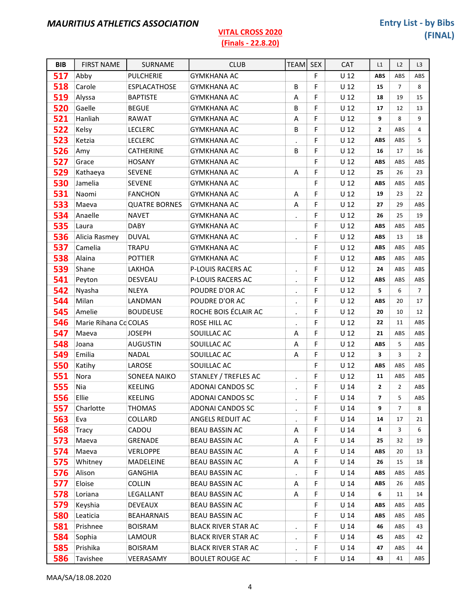### (Finals - 22.8.20)

| <b>BIB</b> | <b>FIRST NAME</b>     | SURNAME              | <b>CLUB</b>                | <b>TEAM</b>          | <b>SEX</b> | CAT             | L1             | L2             | L <sub>3</sub> |
|------------|-----------------------|----------------------|----------------------------|----------------------|------------|-----------------|----------------|----------------|----------------|
| 517        | Abby                  | <b>PULCHERIE</b>     | <b>GYMKHANA AC</b>         |                      | F          | $U$ 12          | <b>ABS</b>     | ABS            | ABS            |
| 518        | Carole                | ESPLACATHOSE         | <b>GYMKHANA AC</b>         | В                    | F          | U <sub>12</sub> | 15             | $\overline{7}$ | 8              |
| 519        | Alyssa                | <b>BAPTISTE</b>      | <b>GYMKHANA AC</b>         | A                    | F          | U <sub>12</sub> | 18             | 19             | 15             |
| 520        | Gaelle                | <b>BEGUE</b>         | <b>GYMKHANA AC</b>         | B                    | F          | U <sub>12</sub> | 17             | 12             | 13             |
| 521        | Hanliah               | <b>RAWAT</b>         | <b>GYMKHANA AC</b>         | Α                    | F          | $U$ 12          | 9              | 8              | 9              |
| 522        | Kelsy                 | <b>LECLERC</b>       | <b>GYMKHANA AC</b>         | B                    | F          | U <sub>12</sub> | $\mathbf{2}$   | ABS            | $\overline{4}$ |
| 523        | Ketzia                | <b>LECLERC</b>       | <b>GYMKHANA AC</b>         | $\bullet$            | F          | U <sub>12</sub> | <b>ABS</b>     | ABS            | 5              |
| 526        | Amy                   | <b>CATHERINE</b>     | <b>GYMKHANA AC</b>         | B                    | F          | U <sub>12</sub> | 16             | 17             | 16             |
| 527        | Grace                 | <b>HOSANY</b>        | <b>GYMKHANA AC</b>         |                      | F          | U <sub>12</sub> | <b>ABS</b>     | ABS            | ABS            |
| 529        | Kathaeya              | <b>SEVENE</b>        | <b>GYMKHANA AC</b>         | Α                    | F          | U <sub>12</sub> | 25             | 26             | 23             |
| 530        | Jamelia               | <b>SEVENE</b>        | <b>GYMKHANA AC</b>         |                      | F          | U <sub>12</sub> | <b>ABS</b>     | ABS            | ABS            |
| 531        | Naomi                 | <b>FANCHON</b>       | <b>GYMKHANA AC</b>         | Α                    | F          | U <sub>12</sub> | 19             | 23             | 22             |
| 533        | Maeva                 | <b>QUATRE BORNES</b> | <b>GYMKHANA AC</b>         | A                    | F          | U <sub>12</sub> | 27             | 29             | ABS            |
| 534        | Anaelle               | <b>NAVET</b>         | <b>GYMKHANA AC</b>         | $\ddot{\phantom{a}}$ | F          | U <sub>12</sub> | 26             | 25             | 19             |
| 535        | Laura                 | <b>DABY</b>          | <b>GYMKHANA AC</b>         |                      | F          | U <sub>12</sub> | <b>ABS</b>     | ABS            | ABS            |
| 536        | Alicia Rasmey         | <b>DUVAL</b>         | <b>GYMKHANA AC</b>         | $\bullet$            | F          | U <sub>12</sub> | <b>ABS</b>     | 13             | 18             |
| 537        | Camelia               | <b>TRAPU</b>         | <b>GYMKHANA AC</b>         |                      | F          | $U$ 12          | <b>ABS</b>     | ABS            | ABS            |
| 538        | Alaina                | <b>POTTIER</b>       | <b>GYMKHANA AC</b>         |                      | F          | U <sub>12</sub> | <b>ABS</b>     | ABS            | ABS            |
| 539        | Shane                 | LAKHOA               | P-LOUIS RACERS AC          | $\bullet$            | F          | U <sub>12</sub> | 24             | ABS            | ABS            |
| 541        | Peyton                | <b>DESVEAU</b>       | P-LOUIS RACERS AC          | $\bullet$            | F          | U <sub>12</sub> | <b>ABS</b>     | ABS            | ABS            |
| 542        | Nyasha                | <b>NLEYA</b>         | POUDRE D'OR AC             | $\blacksquare$       | F          | U <sub>12</sub> | 5              | 6              | $\overline{7}$ |
| 544        | Milan                 | LANDMAN              | POUDRE D'OR AC             | $\bullet$            | F          | U <sub>12</sub> | <b>ABS</b>     | 20             | 17             |
| 545        | Amelie                | <b>BOUDEUSE</b>      | ROCHE BOIS ÉCLAIR AC       | $\ddot{\phantom{0}}$ | F          | U <sub>12</sub> | 20             | 10             | 12             |
| 546        | Marie Rihana Co COLAS |                      | ROSE HILL AC               | $\ddot{\phantom{0}}$ | F          | U <sub>12</sub> | 22             | 11             | ABS            |
| 547        | Maeva                 | <b>JOSEPH</b>        | SOUILLAC AC                | Α                    | F          | U <sub>12</sub> | 21             | ABS            | ABS            |
| 548        | Joana                 | <b>AUGUSTIN</b>      | SOUILLAC AC                | Α                    | F          | U <sub>12</sub> | <b>ABS</b>     | 5              | ABS            |
| 549        | Emilia                | <b>NADAL</b>         | SOUILLAC AC                | Α                    | F          | U <sub>12</sub> | 3              | 3              | $\overline{2}$ |
| 550        | Katihy                | LAROSE               | SOUILLAC AC                |                      | F          | U <sub>12</sub> | <b>ABS</b>     | ABS            | ABS            |
| 551        | Nora                  | SONEEA NAIKO         | STANLEY / TREFLES AC       | $\bullet$            | F          | $U$ 12          | 11             | ABS            | ABS            |
| 555        | Nia                   | <b>KEELING</b>       | ADONAI CANDOS SC           | $\blacksquare$       | F          | U <sub>14</sub> | $\mathbf{2}$   | $\overline{2}$ | ABS            |
| 556        | Ellie                 | <b>KEELING</b>       | ADONAI CANDOS SC           |                      | F          | U <sub>14</sub> | $\overline{ }$ | 5              | ABS            |
| 557        | Charlotte             | <b>THOMAS</b>        | ADONAI CANDOS SC           | $\bullet$            | F          | U <sub>14</sub> | 9              | 7              | 8              |
| 563        | Eva                   | COLLARD              | ANGELS REDUIT AC           |                      | F          | U <sub>14</sub> | 14             | 17             | 21             |
| 568        | Tracy                 | CADOU                | BEAU BASSIN AC             | Α                    | F          | U <sub>14</sub> | 4              | 3              | 6              |
| 573        | Maeva                 | GRENADE              | <b>BEAU BASSIN AC</b>      | Α                    | F          | U <sub>14</sub> | 25             | 32             | 19             |
| 574        | Maeva                 | <b>VERLOPPE</b>      | <b>BEAU BASSIN AC</b>      | Α                    | F          | U <sub>14</sub> | <b>ABS</b>     | 20             | 13             |
| 575        | Whitney               | MADELEINE            | <b>BEAU BASSIN AC</b>      | Α                    | F          | $U$ 14          | 26             | 15             | 18             |
| 576        | Alison                | <b>GANGHIA</b>       | BEAU BASSIN AC             | $\bullet$            | F          | U <sub>14</sub> | <b>ABS</b>     | ABS            | ABS            |
| 577        | Eloise                | <b>COLLIN</b>        | <b>BEAU BASSIN AC</b>      | A                    | F          | U <sub>14</sub> | <b>ABS</b>     | 26             | ABS            |
| 578        | Loriana               | LEGALLANT            | BEAU BASSIN AC             | Α                    | F          | U <sub>14</sub> | 6              | 11             | 14             |
| 579        | Keyshia               | <b>DEVEAUX</b>       | <b>BEAU BASSIN AC</b>      |                      | F          | $U$ 14          | <b>ABS</b>     | ABS            | ABS            |
| 580        | Leaticia              | <b>BEAHARNAIS</b>    | <b>BEAU BASSIN AC</b>      |                      | F          | $U$ 14          | <b>ABS</b>     | ABS            | ABS            |
| 581        | Prishnee              | <b>BOISRAM</b>       | <b>BLACK RIVER STAR AC</b> | $\blacksquare$       | F          | U <sub>14</sub> | 46             | ABS            | 43             |
| 584        | Sophia                | LAMOUR               | <b>BLACK RIVER STAR AC</b> | $\bullet$            | F          | $U$ 14          | 45             | ABS            | 42             |
| 585        | Prishika              | <b>BOISRAM</b>       | <b>BLACK RIVER STAR AC</b> | $\bullet$            | F          | $U$ 14          | 47             | ABS            | 44             |
| 586        | Tavishee              | VEERASAMY            | <b>BOULET ROUGE AC</b>     |                      | F          | $U$ 14          | 43             | 41             | ABS            |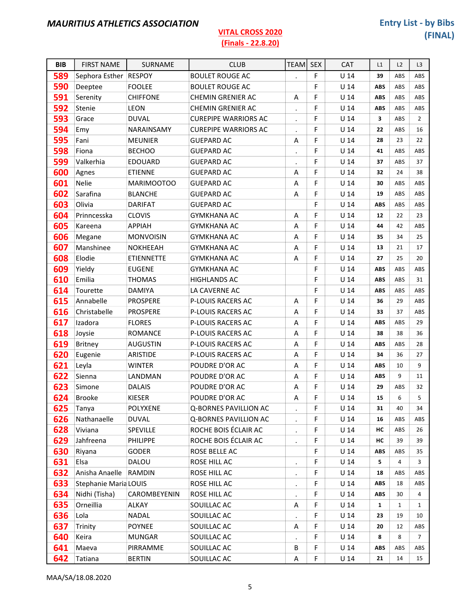#### (Finals - 22.8.20)

| <b>BIB</b> | <b>FIRST NAME</b>     | <b>SURNAME</b>    | <b>CLUB</b>                 | <b>TEAM</b>               | <b>SEX</b> | <b>CAT</b>      | L1         | L2           | L <sub>3</sub> |
|------------|-----------------------|-------------------|-----------------------------|---------------------------|------------|-----------------|------------|--------------|----------------|
| 589        | Sephora Esther RESPOY |                   | <b>BOULET ROUGE AC</b>      | $\ddot{\phantom{0}}$      | F          | $U$ 14          | 39         | ABS          | ABS            |
| 590        | Deeptee               | <b>FOOLEE</b>     | <b>BOULET ROUGE AC</b>      |                           | F          | U <sub>14</sub> | <b>ABS</b> | ABS          | ABS            |
| 591        | Serenity              | <b>CHIFFONE</b>   | CHEMIN GRENIER AC           | Α                         | F          | U <sub>14</sub> | <b>ABS</b> | ABS          | ABS            |
| 592        | Stenie                | <b>LEON</b>       | CHEMIN GRENIER AC           | $\bullet$                 | F          | U <sub>14</sub> | <b>ABS</b> | ABS          | ABS            |
| 593        | Grace                 | <b>DUVAL</b>      | <b>CUREPIPE WARRIORS AC</b> | $\cdot$                   | F          | $U$ 14          | 3          | ABS          | $\overline{2}$ |
| 594        | Emy                   | NARAINSAMY        | <b>CUREPIPE WARRIORS AC</b> | $\blacksquare$            | F          | U <sub>14</sub> | 22         | ABS          | 16             |
| 595        | Fani                  | <b>MEUNIER</b>    | <b>GUEPARD AC</b>           | Α                         | F          | U <sub>14</sub> | 28         | 23           | 22             |
| 598        | Fiona                 | <b>BECHOO</b>     | <b>GUEPARD AC</b>           | $\blacksquare$            | F          | U <sub>14</sub> | 41         | ABS          | ABS            |
| 599        | Valkerhia             | <b>EDOUARD</b>    | <b>GUEPARD AC</b>           | $\blacksquare$            | F          | U <sub>14</sub> | 37         | ABS          | 37             |
| 600        | Agnes                 | <b>ETIENNE</b>    | <b>GUEPARD AC</b>           | A                         | F          | U <sub>14</sub> | 32         | 24           | 38             |
| 601        | <b>Nelie</b>          | MARIMOOTOO        | <b>GUEPARD AC</b>           | A                         | F          | $U$ 14          | 30         | ABS          | ABS            |
| 602        | Sarafina              | <b>BLANCHE</b>    | <b>GUEPARD AC</b>           | A                         | F          | U <sub>14</sub> | 19         | ABS          | ABS            |
| 603        | Olivia                | <b>DARIFAT</b>    | <b>GUEPARD AC</b>           |                           | F          | U <sub>14</sub> | <b>ABS</b> | ABS          | ABS            |
| 604        | Prinncesska           | <b>CLOVIS</b>     | <b>GYMKHANA AC</b>          | Α                         | F          | U <sub>14</sub> | 12         | 22           | 23             |
| 605        | Kareena               | <b>APPIAH</b>     | <b>GYMKHANA AC</b>          | Α                         | F          | U <sub>14</sub> | 44         | 42           | ABS            |
| 606        | Megane                | <b>MONVOISIN</b>  | <b>GYMKHANA AC</b>          | Α                         | F          | U <sub>14</sub> | 35         | 34           | 25             |
| 607        | Manshinee             | <b>NOKHEEAH</b>   | <b>GYMKHANA AC</b>          | A                         | F          | $U$ 14          | 13         | 21           | 17             |
| 608        | Elodie                | <b>ETIENNETTE</b> | <b>GYMKHANA AC</b>          | Α                         | F          | U <sub>14</sub> | 27         | 25           | 20             |
| 609        | Yieldy                | <b>EUGENE</b>     | <b>GYMKHANA AC</b>          |                           | F          | U <sub>14</sub> | <b>ABS</b> | ABS          | ABS            |
| 610        | Emilia                | <b>THOMAS</b>     | <b>HIGHLANDS AC</b>         |                           | F          | U <sub>14</sub> | <b>ABS</b> | ABS          | 31             |
| 614        | Tourette              | <b>DAMIYA</b>     | LA CAVERNE AC               |                           | F          | U <sub>14</sub> | <b>ABS</b> | ABS          | ABS            |
| 615        | Annabelle             | <b>PROSPERE</b>   | <b>P-LOUIS RACERS AC</b>    | A                         | F          | U <sub>14</sub> | 36         | 29           | ABS            |
| 616        | Christabelle          | <b>PROSPERE</b>   | P-LOUIS RACERS AC           | Α                         | F          | U <sub>14</sub> | 33         | 37           | ABS            |
| 617        | Izadora               | <b>FLORES</b>     | P-LOUIS RACERS AC           | A                         | F          | $U$ 14          | <b>ABS</b> | ABS          | 29             |
| 618        | Joysie                | ROMANCE           | P-LOUIS RACERS AC           | Α                         | F          | U <sub>14</sub> | 38         | 38           | 36             |
| 619        | <b>Britney</b>        | <b>AUGUSTIN</b>   | P-LOUIS RACERS AC           | Α                         | F          | U <sub>14</sub> | <b>ABS</b> | ABS          | 28             |
| 620        | Eugenie               | ARISTIDE          | P-LOUIS RACERS AC           | A                         | F          | U <sub>14</sub> | 34         | 36           | 27             |
| 621        | Leyla                 | <b>WINTER</b>     | POUDRE D'OR AC              | Α                         | F          | U <sub>14</sub> | <b>ABS</b> | 10           | 9              |
| 622        | Sienna                | LANDMAN           | POUDRE D'OR AC              | Α                         | F          | U <sub>14</sub> | <b>ABS</b> | 9            | 11             |
| 623        | Simone                | <b>DALAIS</b>     | POUDRE D'OR AC              | A                         | F          | U <sub>14</sub> | 29         | ABS          | 32             |
| 624        | <b>Brooke</b>         | <b>KIESER</b>     | POUDRE D'OR AC              | $\boldsymbol{\mathsf{A}}$ | F          | U <sub>14</sub> | 15         | 6            | 5              |
| 625        | Tanya                 | <b>POLYXENE</b>   | Q-BORNES PAVILLION AC       | $\blacksquare$            | F          | U <sub>14</sub> | 31         | 40           | 34             |
| 626        | Nathanaelle           | <b>DUVAL</b>      | Q-BORNES PAVILLION AC       | $\blacksquare$            | F          | $U$ 14          | 16         | ABS          | ABS            |
| 628        | Viviana               | SPEVILLE          | ROCHE BOIS ÉCLAIR AC        | $\cdot$                   | F          | $U$ 14          | НC         | ABS          | 26             |
| 629        | Jahfreena             | <b>PHILIPPE</b>   | ROCHE BOIS ÉCLAIR AC        | $\blacksquare$            | F          | $U$ 14          | нс         | 39           | 39             |
| 630        | Riyana                | <b>GODER</b>      | ROSE BELLE AC               |                           | F          | $U$ 14          | ABS        | ABS          | 35             |
| 631        | Elsa                  | DALOU             | ROSE HILL AC                | $\bullet$                 | F          | $U$ 14          | 5          | 4            | 3              |
| 632        | Anisha Anaelle        | RAMDIN            | ROSE HILL AC                | $\blacksquare$            | F          | $U$ 14          | 18         | ABS          | ABS            |
| 633        | Stephanie Maria LOUIS |                   | ROSE HILL AC                | $\bullet$                 | F          | $U$ 14          | <b>ABS</b> | 18           | ABS            |
| 634        | Nidhi (Tisha)         | CAROMBEYENIN      | ROSE HILL AC                | $\bullet$                 | F          | $U$ 14          | <b>ABS</b> | 30           | 4              |
| 635        | Orneillia             | ALKAY             | SOUILLAC AC                 | A                         | F          | $U$ 14          | 1          | $\mathbf{1}$ | $\mathbf{1}$   |
| 636        | Lola                  | <b>NADAL</b>      | SOUILLAC AC                 |                           | F          | $U$ 14          | 23         | 19           | 10             |
| 637        | Trinity               | <b>POYNEE</b>     | SOUILLAC AC                 | A                         | F          | $U$ 14          | 20         | 12           | ABS            |
| 640        | Keira                 | <b>MUNGAR</b>     | SOUILLAC AC                 | $\blacksquare$            | F          | $U$ 14          | 8          | 8            | 7              |
| 641        | Maeva                 | PIRRAMME          | SOUILLAC AC                 | В                         | F          | $U$ 14          | ABS        | ABS          | ABS            |
| 642        | Tatiana               | <b>BERTIN</b>     | SOUILLAC AC                 | A                         | F          | U <sub>14</sub> | 21         | 14           | 15             |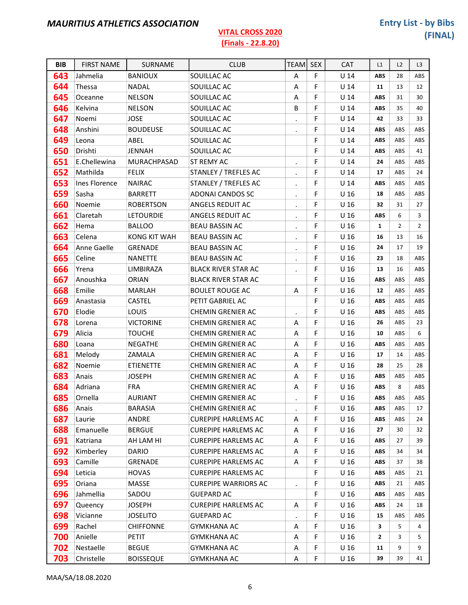| <b>BIB</b> | <b>FIRST NAME</b> | SURNAME             | <b>CLUB</b>                 | <b>TEAM</b>          | <b>SEX</b> | <b>CAT</b>      | L1           | L2             | L <sub>3</sub> |
|------------|-------------------|---------------------|-----------------------------|----------------------|------------|-----------------|--------------|----------------|----------------|
| 643        | Jahmelia          | <b>BANIOUX</b>      | SOUILLAC AC                 | A                    | F          | $U$ 14          | <b>ABS</b>   | 28             | ABS            |
| 644        | Thessa            | <b>NADAL</b>        | SOUILLAC AC                 | Α                    | F          | U <sub>14</sub> | 11           | 13             | 12             |
| 645        | Oceanne           | <b>NELSON</b>       | SOUILLAC AC                 | Α                    | F          | U <sub>14</sub> | ABS          | 31             | 30             |
| 646        | Kelvina           | <b>NELSON</b>       | SOUILLAC AC                 | B                    | F          | U <sub>14</sub> | <b>ABS</b>   | 35             | 40             |
| 647        | Noemi             | <b>JOSE</b>         | SOUILLAC AC                 | $\blacksquare$       | F          | U <sub>14</sub> | 42           | 33             | 33             |
| 648        | Anshini           | <b>BOUDEUSE</b>     | SOUILLAC AC                 | $\bullet$            | F          | U <sub>14</sub> | <b>ABS</b>   | ABS            | ABS            |
| 649        | Leona             | ABEL                | SOUILLAC AC                 |                      | F          | U <sub>14</sub> | <b>ABS</b>   | ABS            | ABS            |
| 650        | Drishti           | <b>JENNAH</b>       | SOUILLAC AC                 |                      | F          | U <sub>14</sub> | <b>ABS</b>   | ABS            | 41             |
| 651        | E.Chellewina      | <b>MURACHPASAD</b>  | ST REMY AC                  | $\bullet$            | F          | U <sub>14</sub> | 24           | ABS            | ABS            |
| 652        | Mathilda          | <b>FELIX</b>        | STANLEY / TREFLES AC        | $\bullet$            | F          | $U$ 14          | 17           | ABS            | 24             |
| 653        | Ines Florence     | <b>NAIRAC</b>       | STANLEY / TREFLES AC        | $\cdot$              | F          | U <sub>14</sub> | ABS          | ABS            | ABS            |
| 659        | Sasha             | <b>BARRETT</b>      | ADONAI CANDOS SC            | $\bullet$            | F          | U <sub>16</sub> | 18           | ABS            | ABS            |
| 660        | Noemie            | <b>ROBERTSON</b>    | ANGELS REDUIT AC            | $\bullet$            | F          | U <sub>16</sub> | 32           | 31             | 27             |
| 661        | Claretah          | <b>LETOURDIE</b>    | ANGELS REDUIT AC            | $\bullet$            | F          | U <sub>16</sub> | <b>ABS</b>   | 6              | 3              |
| 662        | Hema              | <b>BALLOO</b>       | <b>BEAU BASSIN AC</b>       | $\bullet$            | F          | U <sub>16</sub> | $\mathbf{1}$ | $\overline{2}$ | $\overline{2}$ |
| 663        | Celena            | <b>KONG KIT WAH</b> | <b>BEAU BASSIN AC</b>       | $\bullet$            | F          | U <sub>16</sub> | 16           | 13             | 16             |
| 664        | Anne Gaelle       | <b>GRENADE</b>      | <b>BEAU BASSIN AC</b>       | $\bullet$            | F          | U <sub>16</sub> | 24           | 17             | 19             |
| 665        | Celine            | <b>NANETTE</b>      | <b>BEAU BASSIN AC</b>       | $\bullet$            | F          | U <sub>16</sub> | 23           | 18             | ABS            |
| 666        | Yrena             | LIMBIRAZA           | <b>BLACK RIVER STAR AC</b>  | $\bullet$            | F          | U <sub>16</sub> | 13           | 16             | ABS            |
| 667        | Anoushka          | <b>ORIAN</b>        | <b>BLACK RIVER STAR AC</b>  |                      | F          | U <sub>16</sub> | ABS          | ABS            | ABS            |
| 668        | Emilie            | MARLAH              | <b>BOULET ROUGE AC</b>      | Α                    | F          | U <sub>16</sub> | 12           | ABS            | ABS            |
| 669        | Anastasia         | <b>CASTEL</b>       | PETIT GABRIEL AC            |                      | F          | U <sub>16</sub> | ABS          | ABS            | ABS            |
| 670        | Elodie            | <b>LOUIS</b>        | CHEMIN GRENIER AC           | $\bullet$            | F          | U <sub>16</sub> | ABS          | ABS            | ABS            |
| 678        | Lorena            | <b>VICTORINE</b>    | <b>CHEMIN GRENIER AC</b>    | Α                    | F          | U <sub>16</sub> | 26           | ABS            | 23             |
| 679        | Alicia            | <b>TOUCHE</b>       | <b>CHEMIN GRENIER AC</b>    | Α                    | F          | U <sub>16</sub> | 10           | ABS            | 6              |
| 680        | Loana             | <b>NEGATHE</b>      | CHEMIN GRENIER AC           | Α                    | F          | U <sub>16</sub> | ABS          | ABS            | ABS            |
| 681        | Melody            | ZAMALA              | <b>CHEMIN GRENIER AC</b>    | Α                    | F          | U <sub>16</sub> | 17           | 14             | ABS            |
| 682        | Noemie            | <b>ETIENETTE</b>    | <b>CHEMIN GRENIER AC</b>    | Α                    | F          | U <sub>16</sub> | 28           | 25             | 28             |
| 683        | Anais             | <b>JOSEPH</b>       | CHEMIN GRENIER AC           | Α                    | F          | U <sub>16</sub> | <b>ABS</b>   | ABS            | ABS            |
| 684        | Adriana           | <b>FRA</b>          | <b>CHEMIN GRENIER AC</b>    | A                    | F          | U <sub>16</sub> | <b>ABS</b>   | 8              | ABS            |
| 685        | Ornella           | <b>AURIANT</b>      | CHEMIN GRENIER AC           |                      | F          | U <sub>16</sub> | ABS          | ABS            | ABS            |
| 686        | Anais             | <b>BARASIA</b>      | <b>CHEMIN GRENIER AC</b>    | $\bullet$            | F          | U <sub>16</sub> | ABS          | ABS            | 17             |
| 687        | Laurie            | ANDRE               | <b>CUREPIPE HARLEMS AC</b>  | Α                    | F          | U <sub>16</sub> | ABS          | ABS            | 24             |
| 688        | Emanuelle         | <b>BERGUE</b>       | <b>CUREPIPE HARLEMS AC</b>  | Α                    | F          | U <sub>16</sub> | 27           | 30             | 32             |
| 691        | Katriana          | AH LAM HI           | <b>CUREPIPE HARLEMS AC</b>  | Α                    | F          | U <sub>16</sub> | ABS          | 27             | 39             |
| 692        | Kimberley         | <b>DARIO</b>        | CUREPIPE HARLEMS AC         | A                    | F          | U 16            | <b>ABS</b>   | 34             | 34             |
| 693        | Camille           | GRENADE             | <b>CUREPIPE HARLEMS AC</b>  | Α                    | F          | U 16            | ABS          | 37             | 38             |
| 694        | Leticia           | <b>HOVAS</b>        | <b>CUREPIPE HARLEMS AC</b>  |                      | F          | U <sub>16</sub> | ABS          | ABS            | 21             |
| 695        | Oriana            | MASSE               | <b>CUREPIPE WARRIORS AC</b> | $\ddot{\phantom{0}}$ | F          | U <sub>16</sub> | <b>ABS</b>   | 21             | ABS            |
| 696        | Jahmellia         | SADOU               | <b>GUEPARD AC</b>           |                      | F          | U <sub>16</sub> | ABS          | ABS            | ABS            |
| 697        | Queency           | <b>JOSEPH</b>       | <b>CUREPIPE HARLEMS AC</b>  | Α                    | F          | U <sub>16</sub> | ABS          | 24             | 18             |
| 698        | Vicianne          | <b>JOSELITO</b>     | <b>GUEPARD AC</b>           | $\bullet$            | F          | U <sub>16</sub> | 15           | ABS            | ABS            |
| 699        | Rachel            | <b>CHIFFONNE</b>    | GYMKHANA AC                 | A                    | F          | U <sub>16</sub> | 3            | 5              | 4              |
| 700        | Anielle           | PETIT               | <b>GYMKHANA AC</b>          | Α                    | F          | U <sub>16</sub> | $\mathbf{2}$ | 3              | 5              |
| 702        | Nestaelle         | <b>BEGUE</b>        | <b>GYMKHANA AC</b>          | Α                    | F          | U <sub>16</sub> | 11           | 9              | 9              |
| 703        | Christelle        | <b>BOISSEQUE</b>    | <b>GYMKHANA AC</b>          | Α                    | F          | U <sub>16</sub> | 39           | 39             | 41             |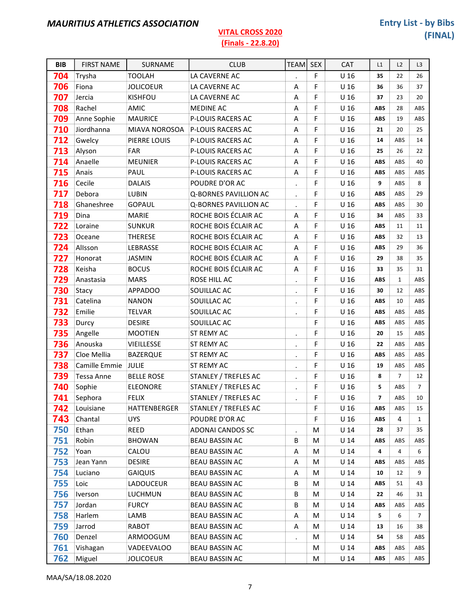٦

| <b>BIB</b> | <b>FIRST NAME</b> | SURNAME           | <b>CLUB</b>                  | <b>TEAM</b>    | <b>SEX</b> | CAT             | L1             | L2             | L <sub>3</sub> |
|------------|-------------------|-------------------|------------------------------|----------------|------------|-----------------|----------------|----------------|----------------|
| 704        | Trysha            | <b>TOOLAH</b>     | LA CAVERNE AC                |                | F          | U <sub>16</sub> | 35             | 22             | 26             |
| 706        | Fiona             | <b>JOLICOEUR</b>  | LA CAVERNE AC                | Α              | F          | U <sub>16</sub> | 36             | 36             | 37             |
| 707        | Jercia            | KISHFOU           | LA CAVERNE AC                | A              | F          | U <sub>16</sub> | 37             | 23             | 20             |
| 708        | Rachel            | AMIC              | <b>MEDINE AC</b>             | A              | F          | U <sub>16</sub> | <b>ABS</b>     | 28             | ABS            |
| 709        | Anne Sophie       | <b>MAURICE</b>    | P-LOUIS RACERS AC            | Α              | F          | U <sub>16</sub> | <b>ABS</b>     | 19             | ABS            |
| 710        | Jiordhanna        | MIAVA NOROSOA     | P-LOUIS RACERS AC            | A              | F          | U <sub>16</sub> | 21             | 20             | 25             |
| 712        | Gwelcy            | PIERRE LOUIS      | P-LOUIS RACERS AC            | A              | F          | U <sub>16</sub> | 14             | ABS            | 14             |
| 713        | Alyson            | FAR               | P-LOUIS RACERS AC            | Α              | F          | U <sub>16</sub> | 25             | 26             | 22             |
| 714        | Anaelle           | <b>MEUNIER</b>    | P-LOUIS RACERS AC            | A              | F          | U <sub>16</sub> | <b>ABS</b>     | ABS            | 40             |
| 715        | Anais             | PAUL              | P-LOUIS RACERS AC            | A              | F          | U <sub>16</sub> | <b>ABS</b>     | ABS            | ABS            |
| 716        | Cecile            | <b>DALAIS</b>     | POUDRE D'OR AC               | $\bullet$      | F          | U <sub>16</sub> | 9              | ABS            | 8              |
| 717        | Debora            | <b>LUBIN</b>      | <b>Q-BORNES PAVILLION AC</b> | $\bullet$      | F          | U <sub>16</sub> | <b>ABS</b>     | ABS            | 29             |
| 718        | Ghaneshree        | <b>GOPAUL</b>     | Q-BORNES PAVILLION AC        |                | F          | U <sub>16</sub> | <b>ABS</b>     | ABS            | 30             |
| 719        | Dina              | <b>MARIE</b>      | ROCHE BOIS ÉCLAIR AC         | A              | F          | U <sub>16</sub> | 34             | ABS            | 33             |
| 722        | Loraine           | <b>SUNKUR</b>     | ROCHE BOIS ÉCLAIR AC         | A              | F          | U <sub>16</sub> | <b>ABS</b>     | 11             | 11             |
| 723        | Oceane            | <b>THERESE</b>    | ROCHE BOIS ÉCLAIR AC         | A              | F          | U <sub>16</sub> | <b>ABS</b>     | 32             | 13             |
| 724        | Allsson           | LEBRASSE          | ROCHE BOIS ÉCLAIR AC         | A              | F          | U <sub>16</sub> | <b>ABS</b>     | 29             | 36             |
| 727        | Honorat           | <b>JASMIN</b>     | ROCHE BOIS ÉCLAIR AC         | A              | F          | U <sub>16</sub> | 29             | 38             | 35             |
| 728        | Keisha            | <b>BOCUS</b>      | ROCHE BOIS ÉCLAIR AC         | A              | F          | U <sub>16</sub> | 33             | 35             | 31             |
| 729        | Anastasia         | <b>MARS</b>       | ROSE HILL AC                 | $\bullet$      | F          | U <sub>16</sub> | <b>ABS</b>     | $\mathbf{1}$   | ABS            |
| 730        | Stacy             | <b>APPADOO</b>    | SOUILLAC AC                  | $\cdot$        | F          | U <sub>16</sub> | 30             | 12             | ABS            |
| 731        | Catelina          | <b>NANON</b>      | SOUILLAC AC                  | $\cdot$        | F          | U <sub>16</sub> | <b>ABS</b>     | 10             | ABS            |
| 732        | Emilie            | <b>TELVAR</b>     | SOUILLAC AC                  | $\blacksquare$ | F          | U <sub>16</sub> | <b>ABS</b>     | ABS            | ABS            |
| 733        | Durcy             | <b>DESIRE</b>     | SOUILLAC AC                  |                | F          | U <sub>16</sub> | <b>ABS</b>     | ABS            | ABS            |
| 735        | Angelle           | <b>MOOTIEN</b>    | ST REMY AC                   | $\cdot$        | F          | U <sub>16</sub> | 20             | 15             | ABS            |
| 736        | Anouska           | <b>VIEILLESSE</b> | ST REMY AC                   | $\blacksquare$ | F          | U <sub>16</sub> | 22             | ABS            | ABS            |
| 737        | Cloe Mellia       | <b>BAZERQUE</b>   | <b>ST REMY AC</b>            | $\cdot$        | F          | U <sub>16</sub> | <b>ABS</b>     | ABS            | ABS            |
| 738        | Camille Emmie     | <b>JULIE</b>      | ST REMY AC                   | $\bullet$      | F          | U <sub>16</sub> | 19             | ABS            | ABS            |
| 739        | Tessa Anne        | <b>BELLE ROSE</b> | STANLEY / TREFLES AC         | $\bullet$      | F          | U <sub>16</sub> | 8              | $\overline{7}$ | 12             |
| 740        | Sophie            | <b>ELEONORE</b>   | STANLEY / TREFLES AC         | $\cdot$        | F          | U <sub>16</sub> | 5              | ABS            | $\overline{7}$ |
| 741        | Sephora           | <b>FELIX</b>      | STANLEY / TREFLES AC         |                | F          | U <sub>16</sub> | $\overline{ }$ | ABS            | 10             |
| 742        | Louisiane         | HATTENBERGER      | STANLEY / TREFLES AC         |                | F          | U <sub>16</sub> | ABS            | ABS            | 15             |
| 743        | Chantal           | <b>UYS</b>        | POUDRE D'OR AC               |                | F          | U <sub>16</sub> | <b>ABS</b>     | 4              | $\mathbf{1}$   |
| 750        | Ethan             | REED              | ADONAI CANDOS SC             | $\bullet$      | M          | $U$ 14          | 28             | 37             | 35             |
| 751        | Robin             | <b>BHOWAN</b>     | <b>BEAU BASSIN AC</b>        | B              | M          | U <sub>14</sub> | ABS            | ABS            | ABS            |
| 752        | Yoan              | CALOU             | <b>BEAU BASSIN AC</b>        | A              | M          | U <sub>14</sub> | 4              | 4              | 6              |
| 753        | Jean Yann         | <b>DESIRE</b>     | <b>BEAU BASSIN AC</b>        | Α              | M          | U <sub>14</sub> | ABS            | ABS            | ABS            |
| 754        | Luciano           | <b>GAIQUIS</b>    | <b>BEAU BASSIN AC</b>        | A              | M          | U <sub>14</sub> | 10             | 12             | 9              |
| 755        | Loic              | <b>LADOUCEUR</b>  | <b>BEAU BASSIN AC</b>        | В              | M          | $U$ 14          | ABS            | 51             | 43             |
| 756        | Iverson           | <b>LUCHMUN</b>    | <b>BEAU BASSIN AC</b>        | В              | M          | U <sub>14</sub> | 22             | 46             | 31             |
| 757        | Jordan            | <b>FURCY</b>      | <b>BEAU BASSIN AC</b>        | B              | M          | U <sub>14</sub> | ABS            | ABS            | ABS            |
| 758        | Harlem            | LAMB              | <b>BEAU BASSIN AC</b>        | Α              | M          | U <sub>14</sub> | 5              | 6              | $\overline{7}$ |
| 759        | Jarrod            | RABOT             | BEAU BASSIN AC               | Α              | M          | U <sub>14</sub> | 13             | 16             | 38             |
| 760        | Denzel            | ARMOOGUM          | <b>BEAU BASSIN AC</b>        | $\cdot$        | M          | U <sub>14</sub> | 54             | 58             | ABS            |
| 761        | Vishagan          | VADEEVALOO        | <b>BEAU BASSIN AC</b>        |                | M          | U <sub>14</sub> | <b>ABS</b>     | ABS            | ABS            |
| 762        | Miguel            | <b>JOLICOEUR</b>  | BEAU BASSIN AC               |                | M          | U <sub>14</sub> | <b>ABS</b>     | ABS            | ABS            |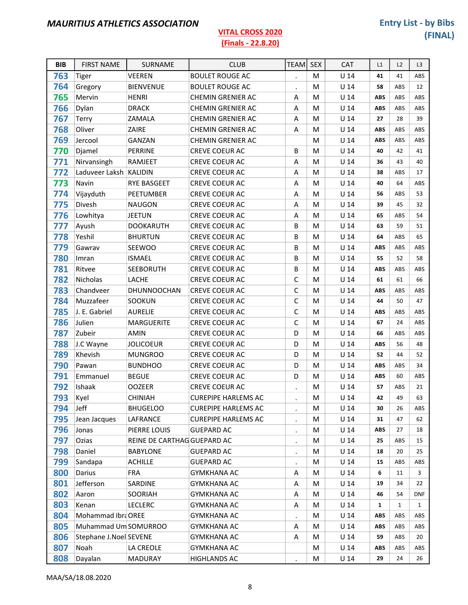| <b>BIB</b> | <b>FIRST NAME</b>      | <b>SURNAME</b>              | <b>CLUB</b>                | <b>TEAM</b>          | <b>SEX</b> | <b>CAT</b>      | L1         | L2           | L <sub>3</sub> |
|------------|------------------------|-----------------------------|----------------------------|----------------------|------------|-----------------|------------|--------------|----------------|
| 763        | <b>Tiger</b>           | <b>VEEREN</b>               | <b>BOULET ROUGE AC</b>     | $\ddot{\phantom{0}}$ | M          | U 14            | 41         | 41           | ABS            |
| 764        | Gregory                | <b>BIENVENUE</b>            | <b>BOULET ROUGE AC</b>     | $\bullet$            | M          | $U$ 14          | 58         | ABS          | 12             |
| 765        | Mervin                 | <b>HENRI</b>                | <b>CHEMIN GRENIER AC</b>   | Α                    | M          | U <sub>14</sub> | <b>ABS</b> | ABS          | ABS            |
| 766        | Dylan                  | <b>DRACK</b>                | CHEMIN GRENIER AC          | Α                    | M          | U <sub>14</sub> | <b>ABS</b> | ABS          | ABS            |
| 767        | Terry                  | ZAMALA                      | CHEMIN GRENIER AC          | A                    | M          | $U$ 14          | 27         | 28           | 39             |
| 768        | Oliver                 | ZAIRE                       | CHEMIN GRENIER AC          | A                    | M          | U <sub>14</sub> | <b>ABS</b> | ABS          | ABS            |
| 769        | Jercool                | GANZAN                      | <b>CHEMIN GRENIER AC</b>   |                      | M          | U <sub>14</sub> | <b>ABS</b> | ABS          | ABS            |
| 770        | Djamel                 | PERRINE                     | CREVE COEUR AC             | B                    | M          | $U$ 14          | 40         | 42           | 41             |
| 771        | Nirvansingh            | RAMJEET                     | CREVE COEUR AC             | A                    | M          | U <sub>14</sub> | 36         | 43           | 40             |
| 772        | Laduveer Laksh KALIDIN |                             | <b>CREVE COEUR AC</b>      | A                    | M          | U <sub>14</sub> | 38         | ABS          | 17             |
| 773        | Navin                  | <b>RYE BASGEET</b>          | <b>CREVE COEUR AC</b>      | A                    | M          | U <sub>14</sub> | 40         | 64           | ABS            |
| 774        | Vijayduth              | PEETUMBER                   | CREVE COEUR AC             | Α                    | M          | U <sub>14</sub> | 56         | ABS          | 53             |
| 775        | Divesh                 | <b>NAUGON</b>               | CREVE COEUR AC             | Α                    | M          | U <sub>14</sub> | 39         | 45           | 32             |
| 776        | Lowhitya               | <b>JEETUN</b>               | <b>CREVE COEUR AC</b>      | A                    | M          | U <sub>14</sub> | 65         | ABS          | 54             |
| 777        | Ayush                  | <b>DOOKARUTH</b>            | CREVE COEUR AC             | B                    | M          | $U$ 14          | 63         | 59           | 51             |
| 778        | Yeshil                 | <b>BHURTUN</b>              | <b>CREVE COEUR AC</b>      | B                    | М          | $U$ 14          | 64         | ABS          | 65             |
| 779        | Gawrav                 | SEEWOO                      | <b>CREVE COEUR AC</b>      | B                    | M          | U <sub>14</sub> | <b>ABS</b> | ABS          | ABS            |
| 780        | Imran                  | <b>ISMAEL</b>               | CREVE COEUR AC             | B                    | M          | U <sub>14</sub> | 55         | 52           | 58             |
| 781        | Ritvee                 | <b>SEEBORUTH</b>            | CREVE COEUR AC             | B                    | M          | U <sub>14</sub> | <b>ABS</b> | ABS          | ABS            |
| 782        | Nicholas               | LACHE                       | CREVE COEUR AC             | C                    | M          | U <sub>14</sub> | 61         | 61           | 66             |
| 783        | Chandveer              | DHUNNOOCHAN                 | <b>CREVE COEUR AC</b>      | C                    | M          | U <sub>14</sub> | <b>ABS</b> | ABS          | ABS            |
| 784        | Muzzafeer              | SOOKUN                      | CREVE COEUR AC             | $\mathsf C$          | м          | U <sub>14</sub> | 44         | 50           | 47             |
| 785        | J. E. Gabriel          | <b>AURELIE</b>              | <b>CREVE COEUR AC</b>      | C                    | M          | U <sub>14</sub> | <b>ABS</b> | ABS          | ABS            |
| 786        | Julien                 | MARGUERITE                  | CREVE COEUR AC             | C                    | M          | U <sub>14</sub> | 67         | 24           | ABS            |
| 787        | Zubeir                 | <b>AMIN</b>                 | CREVE COEUR AC             | D                    | M          | U <sub>14</sub> | 66         | ABS          | ABS            |
| 788        | J.C Wayne              | <b>JOLICOEUR</b>            | CREVE COEUR AC             | D                    | M          | U <sub>14</sub> | <b>ABS</b> | 56           | 48             |
| 789        | Khevish                | <b>MUNGROO</b>              | <b>CREVE COEUR AC</b>      | D                    | M          | U <sub>14</sub> | 52         | 44           | 52             |
| 790        | Pawan                  | <b>BUNDHOO</b>              | <b>CREVE COEUR AC</b>      | D                    | М          | U <sub>14</sub> | <b>ABS</b> | ABS          | 34             |
| 791        | Emmanuel               | <b>BEGUE</b>                | CREVE COEUR AC             | D                    | M          | U <sub>14</sub> | <b>ABS</b> | 60           | ABS            |
| 792        | Ishaak                 | <b>OOZEER</b>               | CREVE COEUR AC             | $\ddot{\phantom{a}}$ | M          | $U$ 14          | 57         | ABS          | 21             |
| 793        | Kyel                   | <b>CHINIAH</b>              | <b>CUREPIPE HARLEMS AC</b> |                      | M          | $U$ 14          | 42         | 49           | 63             |
| 794        | Jeff                   | <b>BHUGELOO</b>             | <b>CUREPIPE HARLEMS AC</b> | $\ddot{\phantom{0}}$ | M          | U <sub>14</sub> | 30         | 26           | ABS            |
| 795        | Jean Jacques           | LAFRANCE                    | <b>CUREPIPE HARLEMS AC</b> | $\bullet$            | М          | $U$ 14          | 31         | 47           | 62             |
| 796        | Jonas                  | PIERRE LOUIS                | <b>GUEPARD AC</b>          | $\bullet$            | M          | $U$ 14          | <b>ABS</b> | 27           | 18             |
| 797        | Ozias                  | REINE DE CARTHAG GUEPARD AC |                            |                      | M          | U <sub>14</sub> | 25         | ABS          | 15             |
| 798        | Daniel                 | <b>BABYLONE</b>             | <b>GUEPARD AC</b>          | $\bullet$            | M          | U <sub>14</sub> | 18         | 20           | 25             |
| 799        | Sandapa                | <b>ACHILLE</b>              | <b>GUEPARD AC</b>          |                      | M          | $U$ 14          | 15         | ABS          | ABS            |
| 800        | Darius                 | <b>FRA</b>                  | <b>GYMKHANA AC</b>         | A                    | M          | U <sub>14</sub> | 6          | 11           | 3              |
| 801        | Jefferson              | SARDINE                     | <b>GYMKHANA AC</b>         | Α                    | M          | U <sub>14</sub> | 19         | 34           | 22             |
| 802        | Aaron                  | SOORIAH                     | <b>GYMKHANA AC</b>         | Α                    | M          | $U$ 14          | 46         | 54           | <b>DNF</b>     |
| 803        | Kenan                  | <b>LECLERC</b>              | <b>GYMKHANA AC</b>         | A                    | M          | $U$ 14          | 1          | $\mathbf{1}$ | $\mathbf{1}$   |
| 804        | Mohammad Ibra OREE     |                             | <b>GYMKHANA AC</b>         | $\bullet$            | M          | $U$ 14          | ABS        | ABS          | ABS            |
| 805        | Muhammad Um SOMURROO   |                             | <b>GYMKHANA AC</b>         | Α                    | M          | $U$ 14          | <b>ABS</b> | ABS          | ABS            |
| 806        | Stephane J.Noel SEVENE |                             | <b>GYMKHANA AC</b>         | Α                    | M          | $U$ 14          | 59         | ABS          | 20             |
| 807        | Noah                   | LA CREOLE                   | <b>GYMKHANA AC</b>         |                      | M          | $U$ 14          | ABS        | ABS          | ABS            |
| 808        | Dayalan                | <b>MADURAY</b>              | <b>HIGHLANDS AC</b>        | $\bullet$            | M          | $U$ 14          | 29         | 24           | 26             |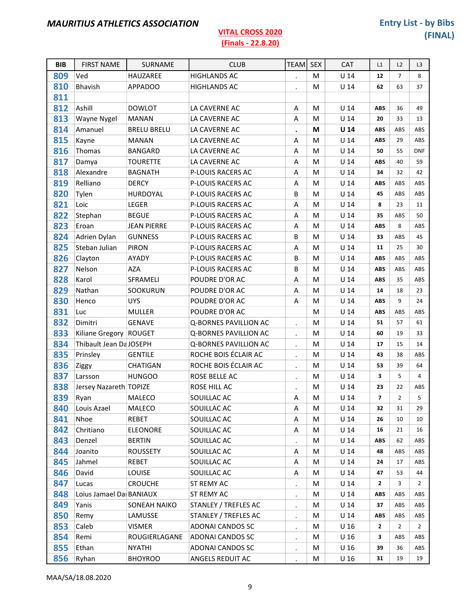| <b>BIB</b> | <b>FIRST NAME</b>       | SURNAME            | <b>CLUB</b>           | <b>TEAM</b>          | <b>SEX</b> | CAT             | L1             | L2             | L <sub>3</sub> |
|------------|-------------------------|--------------------|-----------------------|----------------------|------------|-----------------|----------------|----------------|----------------|
| 809        | Ved                     | HAUZAREE           | <b>HIGHLANDS AC</b>   | $\bullet$            | M          | $U$ 14          | 12             | $\overline{7}$ | 8              |
| 810        | Bhavish                 | <b>APPADOO</b>     | <b>HIGHLANDS AC</b>   | $\ddot{\phantom{a}}$ | M          | U <sub>14</sub> | 62             | 63             | 37             |
| 811        |                         |                    |                       |                      |            |                 |                |                |                |
| 812        | Ashill                  | <b>DOWLOT</b>      | LA CAVERNE AC         | Α                    | M          | $U$ 14          | <b>ABS</b>     | 36             | 49             |
| 813        | Wayne Nygel             | <b>MANAN</b>       | LA CAVERNE AC         | A                    | M          | $U$ 14          | 20             | 33             | 13             |
| 814        | Amanuel                 | <b>BRELU BRELU</b> | LA CAVERNE AC         | $\bullet$            | М          | U <sub>14</sub> | <b>ABS</b>     | ABS            | ABS            |
| 815        | Kayne                   | <b>MANAN</b>       | LA CAVERNE AC         | A                    | M          | $U$ 14          | <b>ABS</b>     | 29             | ABS            |
| 816        | Thomas                  | <b>BANGARD</b>     | LA CAVERNE AC         | A                    | M          | U <sub>14</sub> | 50             | 55             | <b>DNF</b>     |
| 817        | Damya                   | <b>TOURETTE</b>    | LA CAVERNE AC         | Α                    | М          | U <sub>14</sub> | <b>ABS</b>     | 40             | 59             |
| 818        | Alexandre               | <b>BAGNATH</b>     | P-LOUIS RACERS AC     | Α                    | M          | $U$ 14          | 34             | 32             | 42             |
| 819        | Relliano                | <b>DERCY</b>       | P-LOUIS RACERS AC     | A                    | M          | U <sub>14</sub> | <b>ABS</b>     | ABS            | ABS            |
| 820        | Tylen                   | HURDOYAL           | P-LOUIS RACERS AC     | В                    | M          | U <sub>14</sub> | 45             | ABS            | ABS            |
| 821        | Loic                    | <b>LEGER</b>       | P-LOUIS RACERS AC     | A                    | M          | $U$ 14          | 8              | 23             | 11             |
| 822        | Stephan                 | <b>BEGUE</b>       | P-LOUIS RACERS AC     | A                    | M          | U <sub>14</sub> | 35             | ABS            | 50             |
| 823        | Eroan                   | <b>JEAN PIERRE</b> | P-LOUIS RACERS AC     | Α                    | M          | U <sub>14</sub> | <b>ABS</b>     | 8              | ABS            |
| 824        | Adrien Dylan            | <b>GUNNESS</b>     | P-LOUIS RACERS AC     | B                    | M          | $U$ 14          | 33             | ABS            | 45             |
| 825        | Steban Julian           | <b>PIRON</b>       | P-LOUIS RACERS AC     | A                    | M          | U <sub>14</sub> | 11             | 25             | 30             |
| 826        | Clayton                 | AYADY              | P-LOUIS RACERS AC     | В                    | M          | $U$ 14          | <b>ABS</b>     | ABS            | ABS            |
| 827        | Nelson                  | <b>AZA</b>         | P-LOUIS RACERS AC     | B                    | M          | $U$ 14          | <b>ABS</b>     | ABS            | ABS            |
| 828        | Karol                   | SFRAMELI           | POUDRE D'OR AC        | A                    | M          | U <sub>14</sub> | <b>ABS</b>     | 35             | ABS            |
| 829        | Nathan                  | SOOKURUN           | POUDRE D'OR AC        | Α                    | M          | U <sub>14</sub> | 14             | 18             | 23             |
| 830        | Henco                   | <b>UYS</b>         | POUDRE D'OR AC        | Α                    | M          | U <sub>14</sub> | <b>ABS</b>     | 9              | 24             |
| 831        | Luc                     | <b>MULLER</b>      | POUDRE D'OR AC        |                      | M          | U <sub>14</sub> | <b>ABS</b>     | ABS            | ABS            |
| 832        | Dimitri                 | <b>GENAVE</b>      | Q-BORNES PAVILLION AC | $\ddot{\phantom{a}}$ | M          | U <sub>14</sub> | 51             | 57             | 61             |
| 833        | Kiliane Gregory ROUGET  |                    | Q-BORNES PAVILLION AC | $\bullet$            | M          | U <sub>14</sub> | 60             | 19             | 33             |
| 834        | Thibault Jean Da JOSEPH |                    | Q-BORNES PAVILLION AC | $\cdot$              | M          | U <sub>14</sub> | 17             | 15             | 14             |
| 835        | Prinsley                | <b>GENTILE</b>     | ROCHE BOIS ÉCLAIR AC  | $\ddot{\phantom{0}}$ | M          | U <sub>14</sub> | 43             | 38             | ABS            |
| 836        | Ziggy                   | <b>CHATIGAN</b>    | ROCHE BOIS ÉCLAIR AC  | $\bullet$            | M          | U <sub>14</sub> | 53             | 39             | 64             |
| 837        | Larsson                 | <b>HUNGOO</b>      | ROSE BELLE AC         | $\bullet$            | M          | $U$ 14          | 3              | 5              | $\overline{4}$ |
| 838        | Jersey Nazareth TOPIZE  |                    | ROSE HILL AC          | $\bullet$            | M          | $U$ 14          | 23             | 22             | ABS            |
| 839        | Ryan                    | MALECO             | SOUILLAC AC           | A                    | М          | U <sub>14</sub> | $\overline{7}$ | $\overline{2}$ | 5              |
| 840        | Louis Azael             | MALECO             | SOUILLAC AC           | Α                    | M          | U <sub>14</sub> | 32             | 31             | 29             |
| 841        | Nhoe                    | REBET              | SOUILLAC AC           | Α                    | M          | $U$ 14          | 26             | 10             | 10             |
| 842        | Chritiano               | <b>ELEONORE</b>    | SOUILLAC AC           | Α                    | M          | U <sub>14</sub> | 16             | 21             | 16             |
| 843        | Denzel                  | <b>BERTIN</b>      | SOUILLAC AC           | $\bullet$            | M          | U <sub>14</sub> | ABS            | 62             | ABS            |
| 844        | Joanito                 | ROUSSETY           | SOUILLAC AC           | Α                    | M          | U <sub>14</sub> | 48             | ABS            | ABS            |
| 845        | Jahmel                  | REBET              | SOUILLAC AC           | Α                    | M          | U <sub>14</sub> | 24             | 17             | ABS            |
| 846        | David                   | LOUISE             | SOUILLAC AC           | Α                    | M          | U <sub>14</sub> | 47             | 53             | 44             |
| 847        | Lucas                   | <b>CROUCHE</b>     | ST REMY AC            | $\bullet$            | M          | U <sub>14</sub> | $\mathbf{2}$   | 3              | $\overline{2}$ |
| 848        | Loius Jamael Da BANIAUX |                    | ST REMY AC            | $\cdot$              | M          | U <sub>14</sub> | <b>ABS</b>     | ABS            | ABS            |
| 849        | Yanis                   | SONEAH NAIKO       | STANLEY / TREFLES AC  | $\bullet$            | M          | U <sub>14</sub> | 37             | ABS            | ABS            |
| 850        | Remy                    | LAMUSSE            | STANLEY / TREFLES AC  | $\bullet$            | M          | U <sub>14</sub> | ABS            | ABS            | ABS            |
| 853        | Caleb                   | <b>VISMER</b>      | ADONAI CANDOS SC      | $\bullet$            | M          | U <sub>16</sub> | $\overline{2}$ | $\overline{2}$ | $\overline{2}$ |
| 854        | Remi                    | ROUGIERLAGANE      | ADONAI CANDOS SC      | $\bullet$            | M          | U <sub>16</sub> | 3              | ABS            | ABS            |
| 855        | Ethan                   | <b>NYATHI</b>      | ADONAI CANDOS SC      | $\bullet$            | M          | U <sub>16</sub> | 39             | 36             | ABS            |
| 856        | Ryhan                   | <b>BHOYROO</b>     | ANGELS REDUIT AC      | $\bullet$            | M          | U <sub>16</sub> | 31             | 19             | 19             |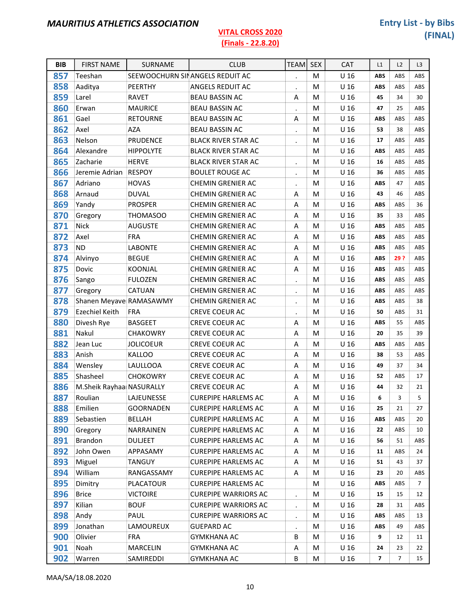| <b>BIB</b> | <b>FIRST NAME</b>        | SURNAME          | <b>CLUB</b>                     | <b>TEAM</b>          | <b>SEX</b> | <b>CAT</b>      | L1         | L2  | L <sub>3</sub> |
|------------|--------------------------|------------------|---------------------------------|----------------------|------------|-----------------|------------|-----|----------------|
| 857        | Teeshan                  |                  | SEEWOOCHURN SINANGELS REDUIT AC |                      | M          | U <sub>16</sub> | <b>ABS</b> | ABS | ABS            |
| 858        | Aaditya                  | PEERTHY          | ANGELS REDUIT AC                | $\bullet$            | M          | U <sub>16</sub> | ABS        | ABS | ABS            |
| 859        | Larel                    | <b>RAVET</b>     | <b>BEAU BASSIN AC</b>           | Α                    | M          | U <sub>16</sub> | 45         | 34  | 30             |
| 860        | Erwan                    | <b>MAURICE</b>   | <b>BEAU BASSIN AC</b>           | $\bullet$            | M          | U <sub>16</sub> | 47         | 25  | ABS            |
| 861        | Gael                     | <b>RETOURNE</b>  | <b>BEAU BASSIN AC</b>           | A                    | м          | U <sub>16</sub> | ABS        | ABS | ABS            |
| 862        | Axel                     | <b>AZA</b>       | <b>BEAU BASSIN AC</b>           | $\ddot{\phantom{0}}$ | M          | U <sub>16</sub> | 53         | 38  | ABS            |
| 863        | Nelson                   | PRUDENCE         | <b>BLACK RIVER STAR AC</b>      | $\cdot$              | M          | U <sub>16</sub> | 17         | ABS | ABS            |
| 864        | Alexandre                | <b>HIPPOLYTE</b> | <b>BLACK RIVER STAR AC</b>      |                      | м          | U <sub>16</sub> | ABS        | ABS | ABS            |
| 865        | Zacharie                 | <b>HERVE</b>     | <b>BLACK RIVER STAR AC</b>      | $\ddot{\phantom{0}}$ | M          | U <sub>16</sub> | 16         | ABS | ABS            |
| 866        | Jeremie Adrian           | <b>RESPOY</b>    | <b>BOULET ROUGE AC</b>          | $\bullet$            | M          | U <sub>16</sub> | 36         | ABS | ABS            |
| 867        | Adriano                  | <b>HOVAS</b>     | CHEMIN GRENIER AC               | $\bullet$            | M          | U <sub>16</sub> | <b>ABS</b> | 47  | ABS            |
| 868        | Arnaud                   | <b>DUVAL</b>     | <b>CHEMIN GRENIER AC</b>        | Α                    | M          | U <sub>16</sub> | 43         | 46  | ABS            |
| 869        | Yandy                    | <b>PROSPER</b>   | CHEMIN GRENIER AC               | A                    | M          | U <sub>16</sub> | <b>ABS</b> | ABS | 36             |
| 870        | Gregory                  | <b>THOMASOO</b>  | <b>CHEMIN GRENIER AC</b>        | Α                    | M          | U <sub>16</sub> | 35         | 33  | ABS            |
| 871        | <b>Nick</b>              | <b>AUGUSTE</b>   | CHEMIN GRENIER AC               | A                    | M          | U <sub>16</sub> | <b>ABS</b> | ABS | ABS            |
| 872        | Axel                     | <b>FRA</b>       | <b>CHEMIN GRENIER AC</b>        | A                    | M          | U <sub>16</sub> | <b>ABS</b> | ABS | ABS            |
| 873        | <b>ND</b>                | <b>LABONTE</b>   | CHEMIN GRENIER AC               | Α                    | M          | U <sub>16</sub> | <b>ABS</b> | ABS | ABS            |
| 874        | Alvinyo                  | <b>BEGUE</b>     | CHEMIN GRENIER AC               | A                    | M          | U <sub>16</sub> | <b>ABS</b> | 29? | ABS            |
| 875        | Dovic                    | <b>KOONJAL</b>   | CHEMIN GRENIER AC               | A                    | M          | U <sub>16</sub> | <b>ABS</b> | ABS | ABS            |
| 876        | Sango                    | <b>FULOZEN</b>   | <b>CHEMIN GRENIER AC</b>        | $\ddot{\phantom{a}}$ | M          | U <sub>16</sub> | <b>ABS</b> | ABS | ABS            |
| 877        | Gregory                  | CATUAN           | CHEMIN GRENIER AC               | $\ddot{\phantom{0}}$ | M          | U <sub>16</sub> | <b>ABS</b> | ABS | ABS            |
| 878        | Shanen Meyave RAMASAWMY  |                  | <b>CHEMIN GRENIER AC</b>        | $\bullet$            | M          | U <sub>16</sub> | <b>ABS</b> | ABS | 38             |
| 879        | Ezechiel Keith           | <b>FRA</b>       | CREVE COEUR AC                  | $\bullet$            | M          | U <sub>16</sub> | 50         | ABS | 31             |
| 880        | Divesh Rye               | <b>BASGEET</b>   | <b>CREVE COEUR AC</b>           | Α                    | M          | U <sub>16</sub> | <b>ABS</b> | 55  | ABS            |
| 881        | Nakul                    | <b>CHAKOWRY</b>  | CREVE COEUR AC                  | A                    | M          | U <sub>16</sub> | 20         | 35  | 39             |
| 882        | Jean Luc                 | <b>JOLICOEUR</b> | <b>CREVE COEUR AC</b>           | Α                    | M          | U <sub>16</sub> | <b>ABS</b> | ABS | ABS            |
| 883        | Anish                    | <b>KALLOO</b>    | <b>CREVE COEUR AC</b>           | A                    | M          | U <sub>16</sub> | 38         | 53  | ABS            |
| 884        | Wensley                  | <b>LAULLOOA</b>  | CREVE COEUR AC                  | A                    | M          | U <sub>16</sub> | 49         | 37  | 34             |
| 885        | Shasheel                 | <b>CHOKOWRY</b>  | <b>CREVE COEUR AC</b>           | Α                    | M          | U <sub>16</sub> | 52         | ABS | 17             |
| 886        | M.Sheik Rayhaa NASURALLY |                  | CREVE COEUR AC                  | A                    | M          | U <sub>16</sub> | 44         | 32  | 21             |
| 887        | Roulian                  | LAJEUNESSE       | <b>CUREPIPE HARLEMS AC</b>      | Α                    | M          | U <sub>16</sub> | 6          | 3   | 5              |
| 888        | Emilien                  | <b>GOORNADEN</b> | <b>CUREPIPE HARLEMS AC</b>      | Α                    | M          | U <sub>16</sub> | 25         | 21  | 27             |
| 889        | Sebastien                | <b>BELLAH</b>    | <b>CUREPIPE HARLEMS AC</b>      | Α                    | М          | U <sub>16</sub> | ABS        | ABS | 20             |
| 890        | Gregory                  | NARRAINEN        | <b>CUREPIPE HARLEMS AC</b>      | Α                    | M          | U <sub>16</sub> | 22         | ABS | 10             |
| 891        | <b>Brandon</b>           | <b>DULJEET</b>   | <b>CUREPIPE HARLEMS AC</b>      | A                    | M          | U <sub>16</sub> | 56         | 51  | ABS            |
| 892        | John Owen                | APPASAMY         | <b>CUREPIPE HARLEMS AC</b>      | Α                    | М          | U <sub>16</sub> | 11         | ABS | 24             |
| 893        | Miguel                   | TANGUY           | <b>CUREPIPE HARLEMS AC</b>      | Α                    | М          | U <sub>16</sub> | 51         | 43  | 37             |
| 894        | William                  | RANGASSAMY       | <b>CUREPIPE HARLEMS AC</b>      | Α                    | M          | U <sub>16</sub> | 23         | 20  | ABS            |
| 895        | Dimitry                  | <b>PLACATOUR</b> | <b>CUREPIPE HARLEMS AC</b>      |                      | M          | U <sub>16</sub> | ABS        | ABS | 7              |
| 896        | <b>Brice</b>             | <b>VICTOIRE</b>  | <b>CUREPIPE WARRIORS AC</b>     | $\cdot$              | М          | U <sub>16</sub> | 15         | 15  | 12             |
| 897        | Kilian                   | <b>BOUF</b>      | <b>CUREPIPE WARRIORS AC</b>     | $\bullet$            | М          | U <sub>16</sub> | 28         | 31  | ABS            |
| 898        | Andy                     | PAUL             | <b>CUREPIPE WARRIORS AC</b>     | $\ddot{\phantom{a}}$ | M          | U <sub>16</sub> | ABS        | ABS | 13             |
| 899        | Jonathan                 | LAMOUREUX        | <b>GUEPARD AC</b>               | $\bullet$            | М          | U <sub>16</sub> | ABS        | 49  | ABS            |
| 900        | Olivier                  | <b>FRA</b>       | <b>GYMKHANA AC</b>              | B                    | М          | U <sub>16</sub> | 9          | 12  | 11             |
| 901        | Noah                     | MARCELIN         | <b>GYMKHANA AC</b>              | A                    | М          | U <sub>16</sub> | 24         | 23  | 22             |
| 902        | Warren                   | SAMIREDDI        | <b>GYMKHANA AC</b>              | В                    | M          | U <sub>16</sub> | 7          | 7   | 15             |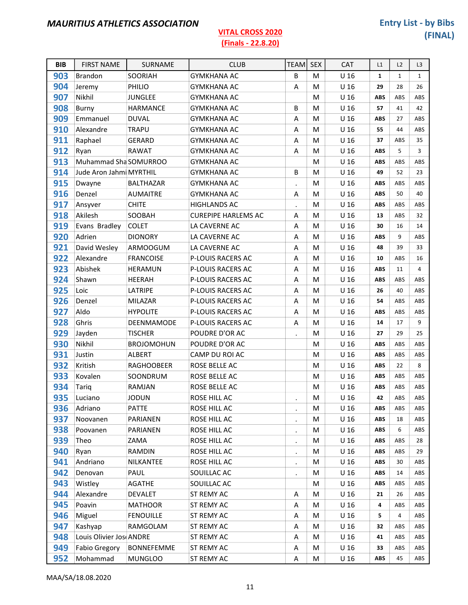| <b>BIB</b> | <b>FIRST NAME</b>       | SURNAME           | <b>CLUB</b>                | <b>TEAM</b>          | <b>SEX</b> | <b>CAT</b>      | L1           | L2           | L3           |
|------------|-------------------------|-------------------|----------------------------|----------------------|------------|-----------------|--------------|--------------|--------------|
| 903        | <b>Brandon</b>          | SOORIAH           | <b>GYMKHANA AC</b>         | B                    | м          | U 16            | $\mathbf{1}$ | $\mathbf{1}$ | $\mathbf{1}$ |
| 904        | Jeremy                  | PHILIO            | <b>GYMKHANA AC</b>         | Α                    | M          | U <sub>16</sub> | 29           | 28           | 26           |
| 907        | Nikhil                  | <b>JUNGLEE</b>    | <b>GYMKHANA AC</b>         |                      | M          | U <sub>16</sub> | <b>ABS</b>   | ABS          | ABS          |
| 908        | Burny                   | <b>HARMANCE</b>   | <b>GYMKHANA AC</b>         | B                    | M          | U <sub>16</sub> | 57           | 41           | 42           |
| 909        | Emmanuel                | <b>DUVAL</b>      | <b>GYMKHANA AC</b>         | A                    | M          | U 16            | <b>ABS</b>   | 27           | ABS          |
| 910        | Alexandre               | <b>TRAPU</b>      | <b>GYMKHANA AC</b>         | Α                    | M          | U <sub>16</sub> | 55           | 44           | ABS          |
| 911        | Raphael                 | <b>GERARD</b>     | <b>GYMKHANA AC</b>         | Α                    | м          | U <sub>16</sub> | 37           | ABS          | 35           |
| 912        | Ryan                    | <b>RAWAT</b>      | <b>GYMKHANA AC</b>         | A                    | M          | U <sub>16</sub> | <b>ABS</b>   | 5            | 3            |
| 913        | Muhammad Sha SOMURROO   |                   | <b>GYMKHANA AC</b>         |                      | M          | U <sub>16</sub> | <b>ABS</b>   | ABS          | ABS          |
| 914        | Jude Aron Jahmi MYRTHIL |                   | <b>GYMKHANA AC</b>         | B                    | M          | U <sub>16</sub> | 49           | 52           | 23           |
| 915        | Dwayne                  | BALTHAZAR         | <b>GYMKHANA AC</b>         | $\ddot{\phantom{a}}$ | м          | U <sub>16</sub> | <b>ABS</b>   | ABS          | ABS          |
| 916        | Denzel                  | <b>AUMAITRE</b>   | <b>GYMKHANA AC</b>         | Α                    | M          | U <sub>16</sub> | <b>ABS</b>   | 50           | 40           |
| 917        | Ansyver                 | <b>CHITE</b>      | <b>HIGHLANDS AC</b>        | $\ddot{\phantom{a}}$ | м          | U <sub>16</sub> | <b>ABS</b>   | ABS          | ABS          |
| 918        | Akilesh                 | SOOBAH            | <b>CUREPIPE HARLEMS AC</b> | A                    | M          | U <sub>16</sub> | 13           | ABS          | 32           |
| 919        | Evans Bradley           | <b>COLET</b>      | LA CAVERNE AC              | Α                    | M          | U <sub>16</sub> | 30           | 16           | 14           |
| 920        | Adrien                  | <b>DIONORY</b>    | LA CAVERNE AC              | A                    | м          | U <sub>16</sub> | ABS          | 9            | ABS          |
| 921        | David Wesley            | ARMOOGUM          | LA CAVERNE AC              | A                    | M          | U <sub>16</sub> | 48           | 39           | 33           |
| 922        | Alexandre               | <b>FRANCOISE</b>  | P-LOUIS RACERS AC          | Α                    | M          | U <sub>16</sub> | 10           | ABS          | 16           |
| 923        | Abishek                 | <b>HERAMUN</b>    | P-LOUIS RACERS AC          | Α                    | M          | U <sub>16</sub> | <b>ABS</b>   | 11           | 4            |
| 924        | Shawn                   | <b>HEERAH</b>     | P-LOUIS RACERS AC          | A                    | M          | U <sub>16</sub> | <b>ABS</b>   | ABS          | ABS          |
| 925        | Loic                    | LATRIPE           | P-LOUIS RACERS AC          | Α                    | M          | U <sub>16</sub> | 26           | 40           | ABS          |
| 926        | Denzel                  | <b>MILAZAR</b>    | P-LOUIS RACERS AC          | Α                    | м          | U <sub>16</sub> | 54           | ABS          | ABS          |
| 927        | Aldo                    | <b>HYPOLITE</b>   | P-LOUIS RACERS AC          | A                    | M          | U <sub>16</sub> | <b>ABS</b>   | ABS          | ABS          |
| 928        | Ghris                   | DEENMAMODE        | P-LOUIS RACERS AC          | Α                    | M          | U <sub>16</sub> | 14           | 17           | 9            |
| 929        | Jayden                  | <b>TISCHER</b>    | POUDRE D'OR AC             |                      | M          | U <sub>16</sub> | 27           | 29           | 25           |
| 930        | Nikhil                  | <b>BROJOMOHUN</b> | POUDRE D'OR AC             |                      | M          | U <sub>16</sub> | <b>ABS</b>   | ABS          | ABS          |
| 931        | Justin                  | <b>ALBERT</b>     | CAMP DU ROI AC             |                      | м          | U <sub>16</sub> | <b>ABS</b>   | ABS          | ABS          |
| 932        | Kritish                 | RAGHOOBEER        | ROSE BELLE AC              |                      | M          | U <sub>16</sub> | <b>ABS</b>   | 22           | 8            |
| 933        | Kovalen                 | SOONDRUM          | <b>ROSE BELLE AC</b>       |                      | M          | U <sub>16</sub> | <b>ABS</b>   | ABS          | ABS          |
| 934        | Tariq                   | RAMJAN            | ROSE BELLE AC              |                      | M          | U <sub>16</sub> | <b>ABS</b>   | ABS          | ABS          |
| 935        | Luciano                 | <b>JODUN</b>      | ROSE HILL AC               |                      | M          | U <sub>16</sub> | 42           | ABS          | ABS          |
| 936        | Adriano                 | <b>PATTE</b>      | ROSE HILL AC               | $\cdot$              | M          | U <sub>16</sub> | ABS          | ABS          | ABS          |
| 937        | Noovanen                | PARIANEN          | ROSE HILL AC               | $\ddot{\phantom{a}}$ | M          | U <sub>16</sub> | <b>ABS</b>   | 18           | ABS          |
| 938        | Poovanen                | PARIANEN          | ROSE HILL AC               | $\cdot$              | M          | U <sub>16</sub> | <b>ABS</b>   | 6            | ABS          |
| 939        | Theo                    | ZAMA              | ROSE HILL AC               | $\bullet$            | M          | U <sub>16</sub> | <b>ABS</b>   | ABS          | 28           |
| 940        | Ryan                    | RAMDIN            | ROSE HILL AC               | $\bullet$            | M          | U <sub>16</sub> | <b>ABS</b>   | ABS          | 29           |
| 941        | Andriano                | NILKANTEE         | ROSE HILL AC               | $\cdot$              | M          | U <sub>16</sub> | <b>ABS</b>   | 30           | ABS          |
| 942        | Denovan                 | PAUL              | SOUILLAC AC                | $\blacksquare$       | M          | U <sub>16</sub> | <b>ABS</b>   | 14           | ABS          |
| 943        | Wistley                 | <b>AGATHE</b>     | SOUILLAC AC                |                      | M          | U <sub>16</sub> | <b>ABS</b>   | ABS          | ABS          |
| 944        | Alexandre               | <b>DEVALET</b>    | <b>ST REMY AC</b>          | Α                    | M          | U <sub>16</sub> | 21           | 26           | ABS          |
| 945        | Poavin                  | <b>MATHOOR</b>    | ST REMY AC                 | A                    | M          | U <sub>16</sub> | 4            | ABS          | ABS          |
| 946        | Miguel                  | <b>FENOUILLE</b>  | <b>ST REMY AC</b>          | Α                    | M          | U <sub>16</sub> | 5            | 4            | ABS          |
| 947        | Kashyap                 | RAMGOLAM          | ST REMY AC                 | А                    | M          | U <sub>16</sub> | 32           | ABS          | ABS          |
| 948        | Louis Olivier Jos ANDRE |                   | ST REMY AC                 | Α                    | M          | U <sub>16</sub> | 41           | ABS          | ABS          |
| 949        | <b>Fabio Gregory</b>    | <b>BONNEFEMME</b> | ST REMY AC                 | A                    | M          | U <sub>16</sub> | 33           | ABS          | ABS          |
| 952        | Mohammad                | <b>MUNGLOO</b>    | ST REMY AC                 | Α                    | М          | U <sub>16</sub> | <b>ABS</b>   | 45           | ABS          |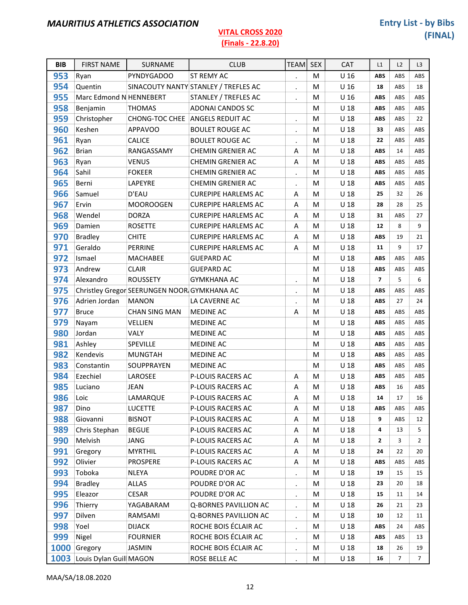#### (Finals - 22.8.20)

| <b>BIB</b> | <b>FIRST NAME</b>            | <b>SURNAME</b>                              | <b>CLUB</b>                          | <b>TEAM</b>          | <b>SEX</b> | CAT             | L1             | L2  | L <sub>3</sub> |
|------------|------------------------------|---------------------------------------------|--------------------------------------|----------------------|------------|-----------------|----------------|-----|----------------|
| 953        | Ryan                         | <b>PYNDYGADOO</b>                           | ST REMY AC                           |                      | M          | U <sub>16</sub> | <b>ABS</b>     | ABS | ABS            |
| 954        | Quentin                      |                                             | SINACOUTY NANTY STANLEY / TREFLES AC | $\blacksquare$       | M          | U <sub>16</sub> | 18             | ABS | 18             |
| 955        | Marc Edmond N HENNEBERT      |                                             | STANLEY / TREFLES AC                 | $\ddot{\phantom{0}}$ | M          | U <sub>16</sub> | <b>ABS</b>     | ABS | ABS            |
| 958        | Benjamin                     | <b>THOMAS</b>                               | <b>ADONAI CANDOS SC</b>              |                      | M          | U <sub>18</sub> | <b>ABS</b>     | ABS | ABS            |
| 959        | Christopher                  |                                             | CHONG-TOC CHEE ANGELS REDUIT AC      | $\blacksquare$       | M          | U <sub>18</sub> | <b>ABS</b>     | ABS | 22             |
| 960        | Keshen                       | <b>APPAVOO</b>                              | <b>BOULET ROUGE AC</b>               | $\cdot$              | M          | U <sub>18</sub> | 33             | ABS | ABS            |
| 961        | Ryan                         | CALICE                                      | <b>BOULET ROUGE AC</b>               | $\bullet$            | M          | U <sub>18</sub> | 22             | ABS | ABS            |
| 962        | <b>Brian</b>                 | RANGASSAMY                                  | <b>CHEMIN GRENIER AC</b>             | Α                    | M          | U <sub>18</sub> | <b>ABS</b>     | 14  | ABS            |
| 963        | Ryan                         | <b>VENUS</b>                                | CHEMIN GRENIER AC                    | A                    | M          | U <sub>18</sub> | <b>ABS</b>     | ABS | ABS            |
| 964        | Sahil                        | <b>FOKEER</b>                               | <b>CHEMIN GRENIER AC</b>             |                      | M          | U <sub>18</sub> | <b>ABS</b>     | ABS | ABS            |
| 965        | Berni                        | LAPEYRE                                     | CHEMIN GRENIER AC                    | $\blacksquare$       | M          | U <sub>18</sub> | <b>ABS</b>     | ABS | ABS            |
| 966        | Samuel                       | D'EAU                                       | <b>CUREPIPE HARLEMS AC</b>           | A                    | M          | U <sub>18</sub> | 25             | 32  | 26             |
| 967        | Ervin                        | <b>MOOROOGEN</b>                            | <b>CUREPIPE HARLEMS AC</b>           | A                    | M          | U <sub>18</sub> | 28             | 28  | 25             |
| 968        | Wendel                       | <b>DORZA</b>                                | <b>CUREPIPE HARLEMS AC</b>           | A                    | M          | U <sub>18</sub> | 31             | ABS | 27             |
| 969        | Damien                       | <b>ROSETTE</b>                              | <b>CUREPIPE HARLEMS AC</b>           | A                    | M          | U <sub>18</sub> | 12             | 8   | 9              |
| 970        | <b>Bradley</b>               | <b>CHITE</b>                                | <b>CUREPIPE HARLEMS AC</b>           | A                    | M          | U <sub>18</sub> | <b>ABS</b>     | 19  | 21             |
| 971        | Geraldo                      | PERRINE                                     | <b>CUREPIPE HARLEMS AC</b>           | Α                    | M          | U <sub>18</sub> | 11             | 9   | 17             |
| 972        | Ismael                       | MACHABEE                                    | <b>GUEPARD AC</b>                    |                      | M          | U <sub>18</sub> | <b>ABS</b>     | ABS | ABS            |
| 973        | Andrew                       | <b>CLAIR</b>                                | <b>GUEPARD AC</b>                    |                      | M          | U <sub>18</sub> | <b>ABS</b>     | ABS | ABS            |
| 974        | Alexandro                    | <b>ROUSSETY</b>                             | <b>GYMKHANA AC</b>                   | $\blacksquare$       | M          | U <sub>18</sub> | $\overline{7}$ | 5   | 6              |
| 975        |                              | Christley Gregor SEERUNGEN NOOR GYMKHANA AC |                                      | $\blacksquare$       | M          | U <sub>18</sub> | <b>ABS</b>     | ABS | ABS            |
| 976        | Adrien Jordan                | <b>MANON</b>                                | LA CAVERNE AC                        | $\cdot$              | M          | U <sub>18</sub> | <b>ABS</b>     | 27  | 24             |
| 977        | <b>Bruce</b>                 | <b>CHAN SING MAN</b>                        | <b>MEDINE AC</b>                     | Α                    | M          | U <sub>18</sub> | <b>ABS</b>     | ABS | ABS            |
| 979        | Nayam                        | <b>VELLIEN</b>                              | <b>MEDINE AC</b>                     |                      | M          | U <sub>18</sub> | <b>ABS</b>     | ABS | ABS            |
| 980        | Jordan                       | VALY                                        | MEDINE AC                            |                      | M          | U <sub>18</sub> | <b>ABS</b>     | ABS | ABS            |
| 981        | Ashley                       | SPEVILLE                                    | <b>MEDINE AC</b>                     |                      | M          | U <sub>18</sub> | <b>ABS</b>     | ABS | ABS            |
| 982        | Kendevis                     | <b>MUNGTAH</b>                              | <b>MEDINE AC</b>                     |                      | M          | U <sub>18</sub> | <b>ABS</b>     | ABS | ABS            |
| 983        | Constantin                   | SOUPPRAYEN                                  | <b>MEDINE AC</b>                     |                      | M          | U <sub>18</sub> | <b>ABS</b>     | ABS | ABS            |
| 984        | Ezechiel                     | LAROSEE                                     | P-LOUIS RACERS AC                    | A                    | М          | U <sub>18</sub> | <b>ABS</b>     | ABS | ABS            |
| 985        | Luciano                      | <b>JEAN</b>                                 | P-LOUIS RACERS AC                    | A                    | M          | U <sub>18</sub> | <b>ABS</b>     | 16  | ABS            |
| 986        | Loic                         | LAMARQUE                                    | P-LOUIS RACERS AC                    | Α                    | M          | U <sub>18</sub> | 14             | 17  | 16             |
| 987        | Dino                         | <b>LUCETTE</b>                              | P-LOUIS RACERS AC                    | Α                    | M          | U <sub>18</sub> | <b>ABS</b>     | ABS | ABS            |
| 988        | Giovanni                     | <b>BISNOT</b>                               | P-LOUIS RACERS AC                    | Α                    | M          | U <sub>18</sub> | 9              | ABS | 12             |
| 989        | Chris Stephan                | <b>BEGUE</b>                                | P-LOUIS RACERS AC                    | Α                    | M          | U <sub>18</sub> | 4              | 13  | 5              |
| 990        | Melvish                      | JANG                                        | P-LOUIS RACERS AC                    | Α                    | M          | U <sub>18</sub> | 2              | 3   | $\overline{2}$ |
| 991        | Gregory                      | <b>MYRTHIL</b>                              | P-LOUIS RACERS AC                    | Α                    | M          | U <sub>18</sub> | 24             | 22  | 20             |
| 992        | Olivier                      | <b>PROSPERE</b>                             | P-LOUIS RACERS AC                    | Α                    | M          | U <sub>18</sub> | <b>ABS</b>     | ABS | ABS            |
| 993        | Toboka                       | <b>NLEYA</b>                                | POUDRE D'OR AC                       | $\bullet$            | M          | U <sub>18</sub> | 19             | 15  | 15             |
| 994        | <b>Bradley</b>               | <b>ALLAS</b>                                | POUDRE D'OR AC                       | $\cdot$              | M          | U <sub>18</sub> | 23             | 20  | 18             |
| 995        | Eleazor                      | CESAR                                       | POUDRE D'OR AC                       | $\bullet$            | M          | U <sub>18</sub> | 15             | 11  | 14             |
| 996        | Thierry                      | YAGABARAM                                   | Q-BORNES PAVILLION AC                | $\bullet$            | M          | U <sub>18</sub> | 26             | 21  | 23             |
| 997        | Dilven                       | RAMSAMI                                     | Q-BORNES PAVILLION AC                | $\ddot{\phantom{0}}$ | M          | U <sub>18</sub> | 10             | 12  | 11             |
| 998        | Yoel                         | <b>DIJACK</b>                               | ROCHE BOIS ÉCLAIR AC                 | $\bullet$            | M          | U <sub>18</sub> | <b>ABS</b>     | 24  | ABS            |
| 999        | Nigel                        | <b>FOURNIER</b>                             | ROCHE BOIS ÉCLAIR AC                 | $\cdot$              | M          | U <sub>18</sub> | <b>ABS</b>     | ABS | 13             |
| 1000       | Gregory                      | <b>JASMIN</b>                               | ROCHE BOIS ÉCLAIR AC                 | $\ddot{\phantom{0}}$ | M          | U <sub>18</sub> | 18             | 26  | 19             |
|            | 1003 Louis Dylan Guill MAGON |                                             | ROSE BELLE AC                        | $\cdot$              | M          | U 18            | 16             | 7   | $\overline{7}$ |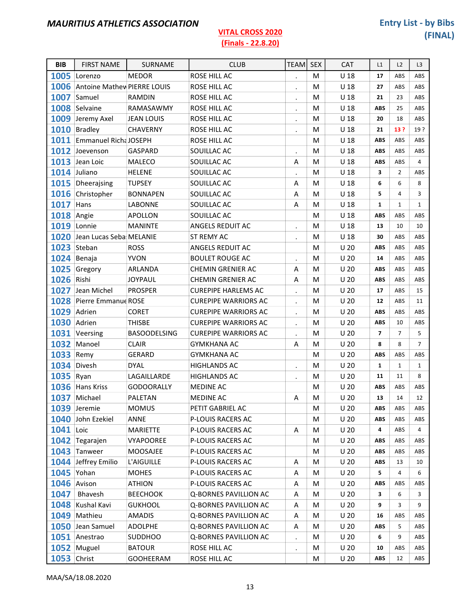#### (Finals - 22.8.20)

| <b>BIB</b>         | <b>FIRST NAME</b>                | <b>SURNAME</b>      | <b>CLUB</b>                 | <b>TEAM</b>          | <b>SEX</b> | <b>CAT</b>      | L1             | L2             | L3             |
|--------------------|----------------------------------|---------------------|-----------------------------|----------------------|------------|-----------------|----------------|----------------|----------------|
|                    | 1005 Lorenzo                     | <b>MEDOR</b>        | ROSE HILL AC                | $\cdot$              | М          | U 18            | 17             | ABS            | ABS            |
|                    | 1006 Antoine Mathew PIERRE LOUIS |                     | ROSE HILL AC                | $\bullet$            | M          | U <sub>18</sub> | 27             | ABS            | ABS            |
| 1007               | Samuel                           | <b>RAMDIN</b>       | ROSE HILL AC                | $\cdot$              | M          | U <sub>18</sub> | 21             | 23             | ABS            |
|                    | 1008 Selvaine                    | <b>RAMASAWMY</b>    | ROSE HILL AC                | $\bullet$            | М          | U <sub>18</sub> | <b>ABS</b>     | 25             | ABS            |
|                    | 1009 Jeremy Axel                 | JEAN LOUIS          | ROSE HILL AC                | $\bullet$            | M          | U <sub>18</sub> | 20             | 18             | ABS            |
|                    | 1010 Bradley                     | <b>CHAVERNY</b>     | ROSE HILL AC                | $\cdot$              | M          | $U$ 18          | 21             | 13 ?           | 19?            |
|                    | 1011 Emmanuel Richa JOSEPH       |                     | ROSE HILL AC                |                      | M          | U <sub>18</sub> | <b>ABS</b>     | ABS            | ABS            |
|                    | 1012 Joevenson                   | <b>GASPARD</b>      | SOUILLAC AC                 | $\bullet$            | M          | U <sub>18</sub> | <b>ABS</b>     | ABS            | ABS            |
|                    | 1013 Jean Loic                   | <b>MALECO</b>       | SOUILLAC AC                 | Α                    | M          | U <sub>18</sub> | <b>ABS</b>     | ABS            | $\overline{4}$ |
|                    | 1014 Juliano                     | <b>HELENE</b>       | SOUILLAC AC                 | $\bullet$            | M          | U <sub>18</sub> | 3              | $\overline{2}$ | ABS            |
|                    | 1015 Dheerajsing                 | <b>TUPSEY</b>       | SOUILLAC AC                 | Α                    | M          | U <sub>18</sub> | 6              | 6              | 8              |
|                    | 1016 Christopher                 | <b>BONNAPEN</b>     | SOUILLAC AC                 | Α                    | М          | U <sub>18</sub> | 5              | $\overline{4}$ | 3              |
| 1017               | Hans                             | LABONNE             | SOUILLAC AC                 | A                    | M          | U <sub>18</sub> | $\mathbf{1}$   | $\mathbf{1}$   | $\mathbf{1}$   |
| <b>1018</b> Angie  |                                  | <b>APOLLON</b>      | SOUILLAC AC                 |                      | M          | U <sub>18</sub> | <b>ABS</b>     | ABS            | ABS            |
| 1019               | Lonnie                           | <b>MANINTE</b>      | ANGELS REDUIT AC            | $\bullet$            | M          | U <sub>18</sub> | 13             | 10             | 10             |
|                    | 1020 Jean Lucas Seba MELANIE     |                     | ST REMY AC                  | $\cdot$              | M          | U <sub>18</sub> | 30             | ABS            | ABS            |
|                    | 1023 Steban                      | <b>ROSS</b>         | ANGELS REDUIT AC            |                      | M          | U <sub>20</sub> | <b>ABS</b>     | ABS            | ABS            |
|                    | 1024 Benaja                      | <b>YVON</b>         | <b>BOULET ROUGE AC</b>      | $\cdot$              | M          | U <sub>20</sub> | 14             | ABS            | ABS            |
|                    | 1025 Gregory                     | ARLANDA             | <b>CHEMIN GRENIER AC</b>    | A                    | M          | U <sub>20</sub> | <b>ABS</b>     | ABS            | ABS            |
| 1026 Rishi         |                                  | <b>JOYPAUL</b>      | CHEMIN GRENIER AC           | Α                    | М          | U <sub>20</sub> | <b>ABS</b>     | ABS            | ABS            |
| 1027               | Jean Michel                      | <b>PROSPER</b>      | <b>CUREPIPE HARLEMS AC</b>  | $\bullet$            | M          | U <sub>20</sub> | 17             | ABS            | 15             |
|                    | 1028 Pierre Emmanue ROSE         |                     | <b>CUREPIPE WARRIORS AC</b> | $\cdot$              | M          | U <sub>20</sub> | 12             | ABS            | 11             |
|                    | 1029 Adrien                      | <b>CORET</b>        | <b>CUREPIPE WARRIORS AC</b> | $\bullet$            | М          | U <sub>20</sub> | <b>ABS</b>     | ABS            | ABS            |
|                    | 1030 Adrien                      | <b>THISBE</b>       | <b>CUREPIPE WARRIORS AC</b> | $\bullet$            | M          | U <sub>20</sub> | <b>ABS</b>     | 10             | ABS            |
|                    | 1031 Veersing                    | <b>BASOODELSING</b> | <b>CUREPIPE WARRIORS AC</b> | $\bullet$            | M          | U <sub>20</sub> | $\overline{7}$ | $\overline{7}$ | 5              |
|                    | 1032 Manoel                      | <b>CLAIR</b>        | <b>GYMKHANA AC</b>          | Α                    | М          | U <sub>20</sub> | 8              | 8              | $\overline{7}$ |
| 1033               | Remy                             | <b>GERARD</b>       | <b>GYMKHANA AC</b>          |                      | M          | U <sub>20</sub> | <b>ABS</b>     | ABS            | ABS            |
|                    | 1034 Divesh                      | <b>DYAL</b>         | <b>HIGHLANDS AC</b>         | $\cdot$              | M          | U <sub>20</sub> | $\mathbf{1}$   | $\mathbf{1}$   | $\mathbf{1}$   |
| 1035 Ryan          |                                  | LAGAILLARDE         | <b>HIGHLANDS AC</b>         | $\blacksquare$       | M          | U <sub>20</sub> | 11             | 11             | 8              |
|                    | 1036 Hans Kriss                  | <b>GODOORALLY</b>   | <b>MEDINE AC</b>            |                      | M          | U <sub>20</sub> | <b>ABS</b>     | ABS            | ABS            |
| 1037               | Michael                          | PALETAN             | <b>MEDINE AC</b>            | A                    | M          | U <sub>20</sub> | 13             | 14             | 12             |
|                    | 1039 Jeremie                     | <b>MOMUS</b>        | PETIT GABRIEL AC            |                      | M          | U <sub>20</sub> | ABS            | ABS            | ABS            |
|                    | 1040 John Ezekiel                | ANNE                | P-LOUIS RACERS AC           |                      | M          | U <sub>20</sub> | <b>ABS</b>     | ABS            | ABS            |
| 1041 Loic          |                                  | <b>MARIETTE</b>     | P-LOUIS RACERS AC           | A                    | M          | U <sub>20</sub> | 4              | ABS            | $\overline{4}$ |
|                    | 1042 Tegarajen                   | <b>VYAPOOREE</b>    | P-LOUIS RACERS AC           |                      | M          | U <sub>20</sub> | <b>ABS</b>     | ABS            | ABS            |
|                    | 1043 Tanweer                     | MOOSAJEE            | P-LOUIS RACERS AC           |                      | M          | U <sub>20</sub> | ABS            | ABS            | ABS            |
|                    | 1044 Jeffrey Emilio              | L'AIGUILLE          | P-LOUIS RACERS AC           | A                    | M          | U <sub>20</sub> | <b>ABS</b>     | 13             | 10             |
|                    | <b>1045</b> Yohan                | <b>MOHES</b>        | P-LOUIS RACERS AC           | Α                    | M          | U <sub>20</sub> | 5              | $\overline{4}$ | 6              |
|                    | 1046 Avison                      | <b>ATHION</b>       | P-LOUIS RACERS AC           | Α                    | M          | U <sub>20</sub> | <b>ABS</b>     | ABS            | ABS            |
| 1047               | Bhavesh                          | <b>BEECHOOK</b>     | Q-BORNES PAVILLION AC       | Α                    | M          | U <sub>20</sub> | 3              | 6              | 3              |
| 1048               | Kushal Kavi                      | <b>GUKHOOL</b>      | Q-BORNES PAVILLION AC       | Α                    | M          | U <sub>20</sub> | 9              | 3              | 9              |
| 1049               | Mathieu                          | <b>AMADIS</b>       | Q-BORNES PAVILLION AC       | Α                    | M          | U <sub>20</sub> | 16             | ABS            | ABS            |
|                    | 1050 Jean Samuel                 | <b>ADOLPHE</b>      | Q-BORNES PAVILLION AC       | А                    | M          | U <sub>20</sub> | <b>ABS</b>     | 5              | ABS            |
|                    | 1051 Anestrao                    | <b>SUDDHOO</b>      | Q-BORNES PAVILLION AC       | $\ddot{\phantom{0}}$ | M          | U <sub>20</sub> | 6              | 9              | ABS            |
|                    | 1052 Muguel                      | <b>BATOUR</b>       | ROSE HILL AC                | $\bullet$            | M          | U <sub>20</sub> | 10             | ABS            | ABS            |
| <b>1053 Christ</b> |                                  | <b>GOOHEERAM</b>    | ROSE HILL AC                |                      | M          | U <sub>20</sub> | <b>ABS</b>     | 12             | ABS            |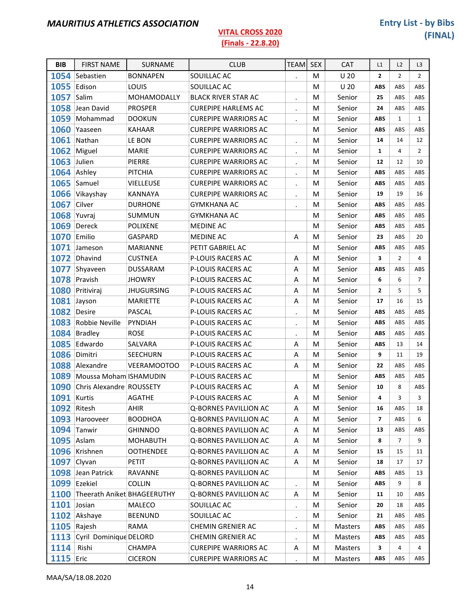#### (Finals - 22.8.20)

| <b>BIB</b>         | <b>FIRST NAME</b>                | SURNAME            | <b>CLUB</b>                  | <b>TEAM</b>          | <b>SEX</b> | <b>CAT</b>      | L1                       | L2             | L <sub>3</sub> |
|--------------------|----------------------------------|--------------------|------------------------------|----------------------|------------|-----------------|--------------------------|----------------|----------------|
|                    | 1054 Sebastien                   | <b>BONNAPEN</b>    | SOUILLAC AC                  | $\ddot{\phantom{a}}$ | М          | U <sub>20</sub> | $\overline{2}$           | $\overline{2}$ | $\overline{2}$ |
| 1055               | Edison                           | LOUIS              | SOUILLAC AC                  |                      | M          | U <sub>20</sub> | <b>ABS</b>               | ABS            | ABS            |
| 1057               | Salim                            | MOHAMODALLY        | <b>BLACK RIVER STAR AC</b>   | $\bullet$            | M          | Senior          | 25                       | ABS            | ABS            |
| 1058               | Jean David                       | <b>PROSPER</b>     | <b>CUREPIPE HARLEMS AC</b>   | $\blacksquare$       | M          | Senior          | 24                       | ABS            | ABS            |
| 1059               | Mohammad                         | <b>DOOKUN</b>      | <b>CUREPIPE WARRIORS AC</b>  | $\ddot{\phantom{a}}$ | M          | Senior          | <b>ABS</b>               | $\mathbf{1}$   | $\mathbf{1}$   |
|                    | 1060 Yaaseen                     | <b>KAHAAR</b>      | <b>CUREPIPE WARRIORS AC</b>  |                      | M          | Senior          | <b>ABS</b>               | ABS            | ABS            |
| 1061               | Nathan                           | LE BON             | <b>CUREPIPE WARRIORS AC</b>  | $\blacksquare$       | M          | Senior          | 14                       | 14             | 12             |
|                    | 1062 Miguel                      | <b>MARIE</b>       | <b>CUREPIPE WARRIORS AC</b>  | $\cdot$              | M          | Senior          | $\mathbf{1}$             | $\overline{4}$ | $\overline{2}$ |
| <b>1063</b> Julien |                                  | PIERRE             | <b>CUREPIPE WARRIORS AC</b>  | $\blacksquare$       | M          | Senior          | 12                       | 12             | 10             |
|                    | 1064 Ashley                      | PITCHIA            | <b>CUREPIPE WARRIORS AC</b>  | $\bullet$            | M          | Senior          | ABS                      | ABS            | ABS            |
|                    | 1065 Samuel                      | VIELLEUSE          | <b>CUREPIPE WARRIORS AC</b>  | $\cdot$              | M          | Senior          | <b>ABS</b>               | ABS            | ABS            |
|                    | 1066 Vikayshay                   | <b>KANNAYA</b>     | <b>CUREPIPE WARRIORS AC</b>  | $\blacksquare$       | M          | Senior          | 19                       | 19             | 16             |
| 1067               | Cilver                           | <b>DURHONE</b>     | <b>GYMKHANA AC</b>           | $\bullet$            | M          | Senior          | <b>ABS</b>               | ABS            | ABS            |
| 1068 Yuvraj        |                                  | <b>SUMMUN</b>      | <b>GYMKHANA AC</b>           |                      | M          | Senior          | <b>ABS</b>               | ABS            | ABS            |
|                    | 1069 Dereck                      | <b>POLIXENE</b>    | MEDINE AC                    |                      | M          | Senior          | <b>ABS</b>               | ABS            | ABS            |
| 1070               | Emilio                           | GASPARD            | MEDINE AC                    | A                    | M          | Senior          | 23                       | ABS            | 20             |
| 1071               | Jameson                          | <b>MARIANNE</b>    | PETIT GABRIEL AC             |                      | M          | Senior          | <b>ABS</b>               | ABS            | ABS            |
|                    | 1072 Dhavind                     | <b>CUSTNEA</b>     | P-LOUIS RACERS AC            | Α                    | M          | Senior          | 3                        | $\overline{2}$ | $\overline{4}$ |
| 1077               | Shyaveen                         | <b>DUSSARAM</b>    | P-LOUIS RACERS AC            | A                    | M          | Senior          | <b>ABS</b>               | ABS            | ABS            |
|                    | 1078 Pravish                     | <b>JHOWRY</b>      | P-LOUIS RACERS AC            | A                    | M          | Senior          | 6                        | 6              | $\overline{7}$ |
|                    | 1080 Pritiviraj                  | <b>JHUGURSING</b>  | P-LOUIS RACERS AC            | A                    | M          | Senior          | $\overline{\mathbf{2}}$  | 5              | 5              |
| 1081               | Jayson                           | <b>MARIETTE</b>    | P-LOUIS RACERS AC            | A                    | M          | Senior          | 17                       | 16             | 15             |
| 1082 Desire        |                                  | <b>PASCAL</b>      | P-LOUIS RACERS AC            | $\bullet$            | M          | Senior          | <b>ABS</b>               | ABS            | ABS            |
|                    | 1083 Robbie Neville              | PYNDIAH            | P-LOUIS RACERS AC            | $\blacksquare$       | M          | Senior          | ABS                      | ABS            | ABS            |
|                    | 1084 Bradley                     | <b>ROSE</b>        | P-LOUIS RACERS AC            | $\bullet$            | M          | Senior          | <b>ABS</b>               | ABS            | ABS            |
| 1085               | Edwardo                          | SALVARA            | P-LOUIS RACERS AC            | A                    | M          | Senior          | <b>ABS</b>               | 13             | 14             |
| 1086               | Dimitri                          | <b>SEECHURN</b>    | P-LOUIS RACERS AC            | Α                    | M          | Senior          | 9                        | 11             | 19             |
|                    | 1088 Alexandre                   | <b>VEERAMOOTOO</b> | P-LOUIS RACERS AC            | A                    | M          | Senior          | 22                       | ABS            | ABS            |
|                    | 1089 Moussa Moham ISHAMUDIN      |                    | P-LOUIS RACERS AC            |                      | M          | Senior          | ABS                      | ABS            | ABS            |
|                    | 1090 Chris Alexandre ROUSSETY    |                    | P-LOUIS RACERS AC            | Α                    | M          | Senior          | 10                       | 8              | ABS            |
| 1091 Kurtis        |                                  | <b>AGATHE</b>      | <b>P-LOUIS RACERS AC</b>     | $\sf A$              | M          | Senior          | 4                        | 3              | 3              |
| 1092 Ritesh        |                                  | AHIR               | Q-BORNES PAVILLION AC        | Α                    | M          | Senior          | 16                       | ABS            | 18             |
| 1093               | Harooveer                        | <b>BOODHOA</b>     | Q-BORNES PAVILLION AC        | Α                    | M          | Senior          | $\overline{\phantom{a}}$ | ABS            | 6              |
|                    | 1094 Tanwir                      | <b>GHINNOO</b>     | Q-BORNES PAVILLION AC        | Α                    | M          | Senior          | 13                       | ABS            | ABS            |
| <b>1095</b> Aslam  |                                  | <b>MOHABUTH</b>    | Q-BORNES PAVILLION AC        | Α                    | M          | Senior          | 8                        | $\overline{7}$ | 9              |
| 1096               | Krishnen                         | <b>OOTHENDEE</b>   | <b>Q-BORNES PAVILLION AC</b> | Α                    | M          | Senior          | 15                       | 15             | 11             |
|                    | 1097 Clyvan                      | PETIT              | Q-BORNES PAVILLION AC        | A                    | M          | Senior          | 18                       | 17             | 17             |
|                    | 1098 Jean Patrick                | RAVANNE            | Q-BORNES PAVILLION AC        |                      | M          | Senior          | <b>ABS</b>               | ABS            | 13             |
|                    | 1099 Ezekiel                     | COLLIN             | Q-BORNES PAVILLION AC        | $\blacksquare$       | M          | Senior          | <b>ABS</b>               | 9              | 8              |
|                    | 1100 Theerath Aniket BHAGEERUTHY |                    | Q-BORNES PAVILLION AC        | Α                    | M          | Senior          | 11                       | 10             | ABS            |
| 1101 Josian        |                                  | MALECO             | SOUILLAC AC                  | $\bullet$            | M          | Senior          | 20                       | 18             | ABS            |
|                    | 1102 Akshaye                     | <b>BEENUND</b>     | SOUILLAC AC                  | $\bullet$            | M          | Senior          | 21                       | ABS            | ABS            |
|                    | 1105 Rajesh                      | RAMA               | <b>CHEMIN GRENIER AC</b>     | $\bullet$            | M          | Masters         | <b>ABS</b>               | ABS            | ABS            |
|                    | 1113 Cyril Dominique DELORD      |                    | <b>CHEMIN GRENIER AC</b>     | $\bullet$            | М          | Masters         | ABS                      | ABS            | ABS            |
| 1114               | Rishi                            | CHAMPA             | <b>CUREPIPE WARRIORS AC</b>  | Α                    | M          | Masters         | 3                        | 4              | 4              |
| <b>1115 Eric</b>   |                                  | <b>CICERON</b>     | <b>CUREPIPE WARRIORS AC</b>  | $\ddot{\phantom{a}}$ | M          | Masters         | <b>ABS</b>               | ABS            | ABS            |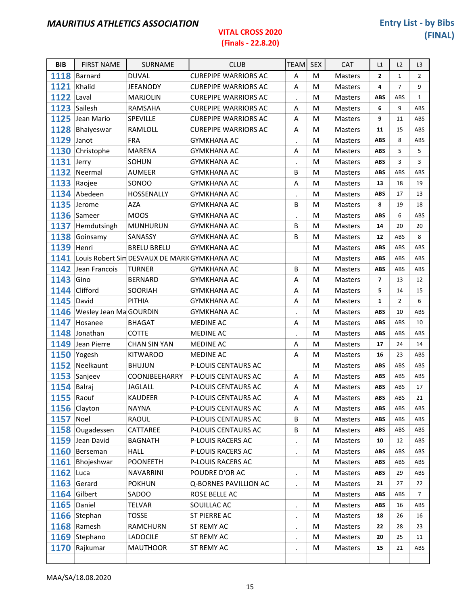| <b>BIB</b>        | <b>FIRST NAME</b>           | SURNAME                                           | <b>CLUB</b>                 | <b>TEAM</b>    | <b>SEX</b> | <b>CAT</b>     | L1                      | L2             | L <sub>3</sub> |
|-------------------|-----------------------------|---------------------------------------------------|-----------------------------|----------------|------------|----------------|-------------------------|----------------|----------------|
|                   | 1118 Barnard                | <b>DUVAL</b>                                      | <b>CUREPIPE WARRIORS AC</b> | A              | М          | Masters        | $\overline{2}$          | $\mathbf 1$    | $\overline{2}$ |
| 1121              | Khalid                      | <b>JEEANODY</b>                                   | <b>CUREPIPE WARRIORS AC</b> | Α              | M          | <b>Masters</b> | 4                       | $\overline{7}$ | 9              |
| <b>1122 Laval</b> |                             | <b>MARJOLIN</b>                                   | <b>CUREPIPE WARRIORS AC</b> | $\bullet$      | M          | <b>Masters</b> | <b>ABS</b>              | ABS            | $\mathbf{1}$   |
|                   | 1123 Sailesh                | RAMSAHA                                           | <b>CUREPIPE WARRIORS AC</b> | A              | M          | <b>Masters</b> | 6                       | 9              | ABS            |
|                   | 1125 Jean Mario             | SPEVILLE                                          | <b>CUREPIPE WARRIORS AC</b> | Α              | M          | Masters        | 9                       | 11             | ABS            |
|                   | 1128 Bhaiyeswar             | RAMLOLL                                           | <b>CUREPIPE WARRIORS AC</b> | A              | M          | Masters        | 11                      | 15             | ABS            |
| 1129 Janot        |                             | <b>FRA</b>                                        | <b>GYMKHANA AC</b>          | $\bullet$      | м          | <b>Masters</b> | ABS                     | 8              | <b>ABS</b>     |
|                   | 1130 Christophe             | <b>MARENA</b>                                     | <b>GYMKHANA AC</b>          | Α              | М          | Masters        | <b>ABS</b>              | 5              | 5              |
| <b>1131</b> Jerry |                             | SOHUN                                             | <b>GYMKHANA AC</b>          | $\blacksquare$ | M          | Masters        | <b>ABS</b>              | 3              | 3              |
|                   | 1132 Neermal                | <b>AUMEER</b>                                     | <b>GYMKHANA AC</b>          | B              | м          | <b>Masters</b> | ABS                     | ABS            | <b>ABS</b>     |
|                   | 1133 Raojee                 | SONOO                                             | <b>GYMKHANA AC</b>          | A              | М          | Masters        | 13                      | 18             | 19             |
|                   | 1134 Abedeen                | HOSSENALLY                                        | <b>GYMKHANA AC</b>          | $\bullet$      | M          | <b>Masters</b> | <b>ABS</b>              | 17             | 13             |
|                   | 1135 Jerome                 | <b>AZA</b>                                        | <b>GYMKHANA AC</b>          | B              | M          | <b>Masters</b> | 8                       | 19             | 18             |
|                   | 1136 Sameer                 | <b>MOOS</b>                                       | <b>GYMKHANA AC</b>          | $\bullet$      | М          | <b>Masters</b> | <b>ABS</b>              | 6              | ABS            |
|                   | 1137 Hemdutsingh            | <b>MUNHURUN</b>                                   | <b>GYMKHANA AC</b>          | B              | м          | Masters        | 14                      | 20             | 20             |
|                   | 1138 Goinsamy               | SANASSY                                           | <b>GYMKHANA AC</b>          | B              | M          | Masters        | 12                      | ABS            | 8              |
| <b>1139 Henri</b> |                             | <b>BRELU BRELU</b>                                | <b>GYMKHANA AC</b>          |                | М          | <b>Masters</b> | <b>ABS</b>              | ABS            | ABS            |
|                   |                             | 1141 Louis Robert Sin DESVAUX DE MARICGYMKHANA AC |                             |                | M          | Masters        | <b>ABS</b>              | ABS            | ABS            |
|                   | 1142 Jean Francois          | <b>TURNER</b>                                     | <b>GYMKHANA AC</b>          | B              | M          | Masters        | <b>ABS</b>              | ABS            | ABS            |
| 1143              | Gino                        | <b>BERNARD</b>                                    | <b>GYMKHANA AC</b>          | A              | М          | <b>Masters</b> | $\overline{\mathbf{z}}$ | 13             | 12             |
|                   | 1144 Clifford               | SOORIAH                                           | <b>GYMKHANA AC</b>          | A              | M          | Masters        | 5                       | 14             | 15             |
| <b>1145 David</b> |                             | PITHIA                                            | <b>GYMKHANA AC</b>          | A              | M          | Masters        | $\mathbf{1}$            | $\overline{2}$ | 6              |
|                   | 1146 Wesley Jean Ma GOURDIN |                                                   | <b>GYMKHANA AC</b>          | $\bullet$      | M          | <b>Masters</b> | <b>ABS</b>              | 10             | ABS            |
|                   | 1147 Hosanee                | <b>BHAGAT</b>                                     | <b>MEDINE AC</b>            | A              | м          | Masters        | <b>ABS</b>              | ABS            | 10             |
|                   | 1148 Jonathan               | <b>COTTE</b>                                      | <b>MEDINE AC</b>            | $\blacksquare$ | M          | Masters        | <b>ABS</b>              | ABS            | ABS            |
|                   | 1149 Jean Pierre            | <b>CHAN SIN YAN</b>                               | MEDINE AC                   | A              | М          | <b>Masters</b> | 17                      | 24             | 14             |
|                   | 1150 Yogesh                 | <b>KITWAROO</b>                                   | <b>MEDINE AC</b>            | A              | м          | Masters        | 16                      | 23             | ABS            |
|                   | 1152 Neelkaunt              | <b>BHUJUN</b>                                     | P-LOUIS CENTAURS AC         |                | М          | <b>Masters</b> | <b>ABS</b>              | ABS            | ABS            |
|                   | 1153 Sanjeev                | COONJBEEHARRY                                     | P-LOUIS CENTAURS AC         | Α              | M          | Masters        | <b>ABS</b>              | ABS            | ABS            |
| 1154 Balraj       |                             | <b>JAGLALL</b>                                    | P-LOUIS CENTAURS AC         | A              | M          | Masters        | <b>ABS</b>              | ABS            | 17             |
| <b>1155 Raouf</b> |                             | <b>KAUDEER</b>                                    | <b>P-LOUIS CENTAURS AC</b>  | Α              | M          | <b>Masters</b> | ABS                     | ABS            | 21             |
|                   | 1156 Clayton                | <b>NAYNA</b>                                      | P-LOUIS CENTAURS AC         | Α              | M          | Masters        | ABS                     | ABS            | ABS            |
| <b>1157 Noel</b>  |                             | RAOUL                                             | P-LOUIS CENTAURS AC         | B              | М          | Masters        | <b>ABS</b>              | ABS            | ABS            |
|                   | 1158 Ougadessen             | CATTAREE                                          | P-LOUIS CENTAURS AC         | B              | M          | Masters        | ABS                     | ABS            | ABS            |
|                   | 1159 Jean David             | <b>BAGNATH</b>                                    | P-LOUIS RACERS AC           | $\blacksquare$ | M          | Masters        | 10                      | 12             | ABS            |
|                   | 1160 Berseman               | <b>HALL</b>                                       | P-LOUIS RACERS AC           | $\cdot$        | M          | Masters        | <b>ABS</b>              | ABS            | ABS            |
|                   | 1161 Bhojeshwar             | <b>POONEETH</b>                                   | P-LOUIS RACERS AC           |                | M          | Masters        | ABS                     | ABS            | ABS            |
| $1162$ Luca       |                             | <b>NAVARRINI</b>                                  | POUDRE D'OR AC              | $\blacksquare$ | M          | Masters        | ABS                     | 29             | ABS            |
|                   | 1163 Gerard                 | <b>POKHUN</b>                                     | Q-BORNES PAVILLION AC       |                | M          | Masters        | 21                      | 27             | 22             |
|                   | 1164 Gilbert                | SADOO                                             | ROSE BELLE AC               | $\blacksquare$ | М          | Masters        | ABS                     | ABS            | $\overline{7}$ |
|                   | 1165 Daniel                 | TELVAR                                            | SOUILLAC AC                 |                | M          | Masters        | <b>ABS</b>              | 16             | ABS            |
|                   | 1166 Stephan                | <b>TOSSE</b>                                      | ST PIERRE AC                | $\blacksquare$ | M          | Masters        | 18                      | 26             | 16             |
|                   | 1168 Ramesh                 | RAMCHURN                                          | ST REMY AC                  | $\bullet$      | М          | Masters        | 22                      | 28             | 23             |
|                   | 1169 Stephano               | <b>LADOCILE</b>                                   | ST REMY AC                  | $\blacksquare$ | М          | Masters        | 20                      | 25             | 11             |
|                   | 1170 Rajkumar               | <b>MAUTHOOR</b>                                   | ST REMY AC                  | $\bullet$      | М          | Masters        | 15                      | 21             | ABS            |
|                   |                             |                                                   |                             | $\bullet$      |            |                |                         |                |                |